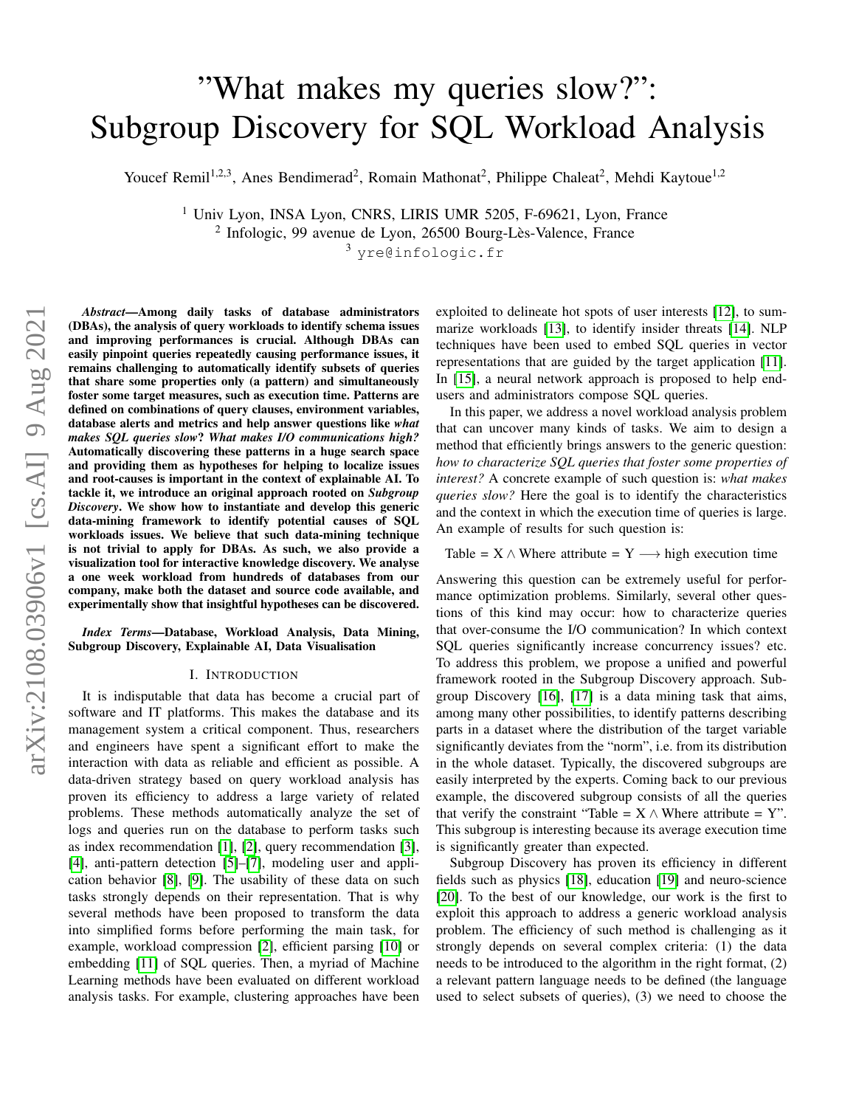# "What makes my queries slow?": Subgroup Discovery for SQL Workload Analysis

Youcef Remil<sup>1,2,3</sup>, Anes Bendimerad<sup>2</sup>, Romain Mathonat<sup>2</sup>, Philippe Chaleat<sup>2</sup>, Mehdi Kaytoue<sup>1,2</sup>

<sup>1</sup> Univ Lyon, INSA Lyon, CNRS, LIRIS UMR 5205, F-69621, Lyon, France <sup>2</sup> Infologic, 99 avenue de Lyon, 26500 Bourg-Lès-Valence, France

<sup>3</sup> yre@infologic.fr

*Abstract*—Among daily tasks of database administrators (DBAs), the analysis of query workloads to identify schema issues and improving performances is crucial. Although DBAs can easily pinpoint queries repeatedly causing performance issues, it remains challenging to automatically identify subsets of queries that share some properties only (a pattern) and simultaneously foster some target measures, such as execution time. Patterns are defined on combinations of query clauses, environment variables, database alerts and metrics and help answer questions like *what makes SQL queries slow*? *What makes I/O communications high?* Automatically discovering these patterns in a huge search space and providing them as hypotheses for helping to localize issues and root-causes is important in the context of explainable AI. To tackle it, we introduce an original approach rooted on *Subgroup Discovery*. We show how to instantiate and develop this generic data-mining framework to identify potential causes of SQL workloads issues. We believe that such data-mining technique is not trivial to apply for DBAs. As such, we also provide a visualization tool for interactive knowledge discovery. We analyse a one week workload from hundreds of databases from our company, make both the dataset and source code available, and experimentally show that insightful hypotheses can be discovered.

*Index Terms*—Database, Workload Analysis, Data Mining, Subgroup Discovery, Explainable AI, Data Visualisation

#### I. INTRODUCTION

It is indisputable that data has become a crucial part of software and IT platforms. This makes the database and its management system a critical component. Thus, researchers and engineers have spent a significant effort to make the interaction with data as reliable and efficient as possible. A data-driven strategy based on query workload analysis has proven its efficiency to address a large variety of related problems. These methods automatically analyze the set of logs and queries run on the database to perform tasks such as index recommendation [\[1\]](#page-10-0), [\[2\]](#page-10-1), query recommendation [\[3\]](#page-10-2), [\[4\]](#page-10-3), anti-pattern detection [\[5\]](#page-10-4)–[\[7\]](#page-10-5), modeling user and application behavior [\[8\]](#page-10-6), [\[9\]](#page-10-7). The usability of these data on such tasks strongly depends on their representation. That is why several methods have been proposed to transform the data into simplified forms before performing the main task, for example, workload compression [\[2\]](#page-10-1), efficient parsing [\[10\]](#page-10-8) or embedding [\[11\]](#page-10-9) of SQL queries. Then, a myriad of Machine Learning methods have been evaluated on different workload analysis tasks. For example, clustering approaches have been exploited to delineate hot spots of user interests [\[12\]](#page-10-10), to summarize workloads [\[13\]](#page-10-11), to identify insider threats [\[14\]](#page-10-12). NLP techniques have been used to embed SQL queries in vector representations that are guided by the target application [\[11\]](#page-10-9). In [\[15\]](#page-10-13), a neural network approach is proposed to help endusers and administrators compose SQL queries.

In this paper, we address a novel workload analysis problem that can uncover many kinds of tasks. We aim to design a method that efficiently brings answers to the generic question: *how to characterize SQL queries that foster some properties of interest?* A concrete example of such question is: *what makes queries slow?* Here the goal is to identify the characteristics and the context in which the execution time of queries is large. An example of results for such question is:

# Table =  $X \wedge$  Where attribute = Y  $\longrightarrow$  high execution time

Answering this question can be extremely useful for performance optimization problems. Similarly, several other questions of this kind may occur: how to characterize queries that over-consume the I/O communication? In which context SQL queries significantly increase concurrency issues? etc. To address this problem, we propose a unified and powerful framework rooted in the Subgroup Discovery approach. Subgroup Discovery [\[16\]](#page-10-14), [\[17\]](#page-10-15) is a data mining task that aims, among many other possibilities, to identify patterns describing parts in a dataset where the distribution of the target variable significantly deviates from the "norm", i.e. from its distribution in the whole dataset. Typically, the discovered subgroups are easily interpreted by the experts. Coming back to our previous example, the discovered subgroup consists of all the queries that verify the constraint "Table =  $X \wedge W$  here attribute = Y". This subgroup is interesting because its average execution time is significantly greater than expected.

Subgroup Discovery has proven its efficiency in different fields such as physics [\[18\]](#page-10-16), education [\[19\]](#page-10-17) and neuro-science [\[20\]](#page-10-18). To the best of our knowledge, our work is the first to exploit this approach to address a generic workload analysis problem. The efficiency of such method is challenging as it strongly depends on several complex criteria: (1) the data needs to be introduced to the algorithm in the right format, (2) a relevant pattern language needs to be defined (the language used to select subsets of queries), (3) we need to choose the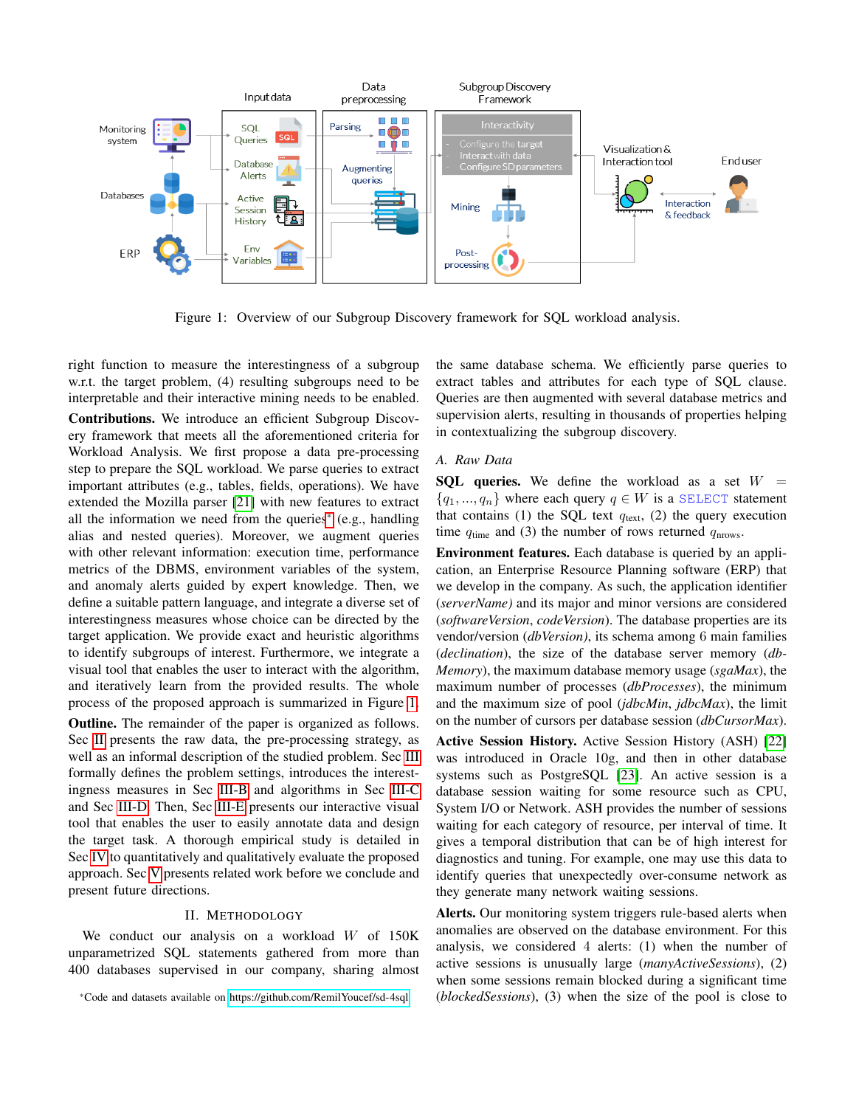<span id="page-1-1"></span>

Figure 1: Overview of our Subgroup Discovery framework for SQL workload analysis.

right function to measure the interestingness of a subgroup w.r.t. the target problem, (4) resulting subgroups need to be interpretable and their interactive mining needs to be enabled.

Contributions. We introduce an efficient Subgroup Discovery framework that meets all the aforementioned criteria for Workload Analysis. We first propose a data pre-processing step to prepare the SQL workload. We parse queries to extract important attributes (e.g., tables, fields, operations). We have extended the Mozilla parser [\[21\]](#page-10-19) with new features to extract all the information we need from the queries[\\*](#page-1-0) (e.g., handling alias and nested queries). Moreover, we augment queries with other relevant information: execution time, performance metrics of the DBMS, environment variables of the system, and anomaly alerts guided by expert knowledge. Then, we define a suitable pattern language, and integrate a diverse set of interestingness measures whose choice can be directed by the target application. We provide exact and heuristic algorithms to identify subgroups of interest. Furthermore, we integrate a visual tool that enables the user to interact with the algorithm, and iteratively learn from the provided results. The whole process of the proposed approach is summarized in Figure [1.](#page-1-1)

Outline. The remainder of the paper is organized as follows. Sec [II](#page-1-2) presents the raw data, the pre-processing strategy, as well as an informal description of the studied problem. Sec [III](#page-3-0) formally defines the problem settings, introduces the interestingness measures in Sec [III-B](#page-4-0) and algorithms in Sec [III-C](#page-4-1) and Sec [III-D.](#page-5-0) Then, Sec [III-E](#page-5-1) presents our interactive visual tool that enables the user to easily annotate data and design the target task. A thorough empirical study is detailed in Sec [IV](#page-6-0) to quantitatively and qualitatively evaluate the proposed approach. Sec [V](#page-8-0) presents related work before we conclude and present future directions.

# II. METHODOLOGY

<span id="page-1-2"></span>We conduct our analysis on a workload W of 150K unparametrized SQL statements gathered from more than 400 databases supervised in our company, sharing almost the same database schema. We efficiently parse queries to extract tables and attributes for each type of SQL clause. Queries are then augmented with several database metrics and supervision alerts, resulting in thousands of properties helping in contextualizing the subgroup discovery.

## <span id="page-1-3"></span>*A. Raw Data*

**SQL queries.** We define the workload as a set  $W =$  ${q_1, ..., q_n}$  where each query  $q \in W$  is a SELECT statement that contains (1) the SQL text  $q_{\text{text}}$ , (2) the query execution time  $q_{time}$  and (3) the number of rows returned  $q_{nrows}$ .

Environment features. Each database is queried by an application, an Enterprise Resource Planning software (ERP) that we develop in the company. As such, the application identifier (*serverName)* and its major and minor versions are considered (*softwareVersion*, *codeVersion*). The database properties are its vendor/version (*dbVersion)*, its schema among 6 main families (*declination*), the size of the database server memory (*db-Memory*), the maximum database memory usage (*sgaMax*), the maximum number of processes (*dbProcesses*), the minimum and the maximum size of pool (*jdbcMin*, *jdbcMax*), the limit on the number of cursors per database session (*dbCursorMax*).

Active Session History. Active Session History (ASH) [\[22\]](#page-10-20) was introduced in Oracle 10g, and then in other database systems such as PostgreSQL [\[23\]](#page-10-21). An active session is a database session waiting for some resource such as CPU, System I/O or Network. ASH provides the number of sessions waiting for each category of resource, per interval of time. It gives a temporal distribution that can be of high interest for diagnostics and tuning. For example, one may use this data to identify queries that unexpectedly over-consume network as they generate many network waiting sessions.

Alerts. Our monitoring system triggers rule-based alerts when anomalies are observed on the database environment. For this analysis, we considered 4 alerts: (1) when the number of active sessions is unusually large (*manyActiveSessions*), (2) when some sessions remain blocked during a significant time (*blockedSessions*), (3) when the size of the pool is close to

<span id="page-1-0"></span><sup>\*</sup>Code and datasets available on<https://github.com/RemilYoucef/sd-4sql>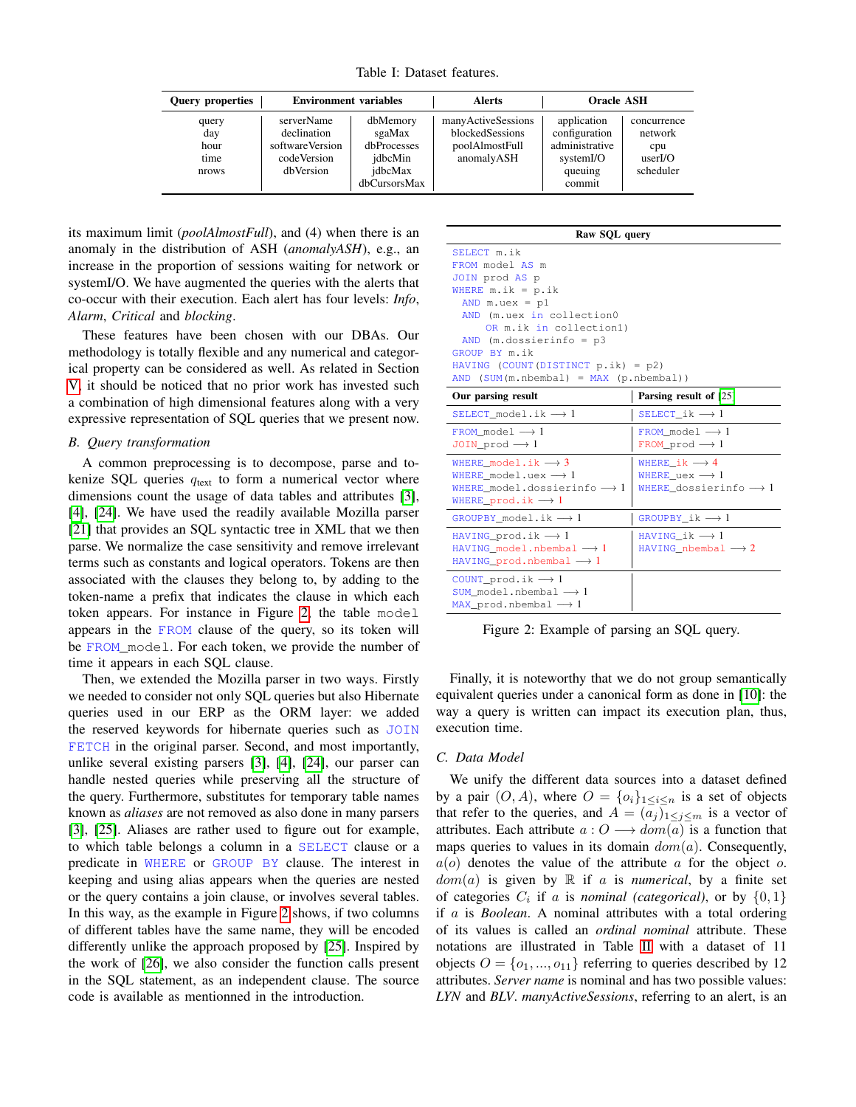Table I: Dataset features.

<span id="page-2-2"></span>

| <b>Query properties</b>               | <b>Environment</b> variables                                             |                                                                         | <b>Alerts</b>                                                         | <b>Oracle ASH</b>                                                                |                                                      |  |  |
|---------------------------------------|--------------------------------------------------------------------------|-------------------------------------------------------------------------|-----------------------------------------------------------------------|----------------------------------------------------------------------------------|------------------------------------------------------|--|--|
| query<br>day<br>hour<br>time<br>nrows | serverName<br>declination<br>softwareVersion<br>codeVersion<br>dbVersion | dbMemory<br>sgaMax<br>dbProcesses<br>idbcMin<br>idbcMax<br>dbCursorsMax | manyActiveSessions<br>blockedSessions<br>poolAlmostFull<br>anomalyASH | application<br>configuration<br>administrative<br>systemI/O<br>queuing<br>commit | concurrence<br>network<br>cpu<br>userIO<br>scheduler |  |  |

its maximum limit (*poolAlmostFull*), and (4) when there is an anomaly in the distribution of ASH (*anomalyASH*), e.g., an increase in the proportion of sessions waiting for network or systemI/O. We have augmented the queries with the alerts that co-occur with their execution. Each alert has four levels: *Info*, *Alarm*, *Critical* and *blocking*.

These features have been chosen with our DBAs. Our methodology is totally flexible and any numerical and categorical property can be considered as well. As related in Section [V,](#page-8-0) it should be noticed that no prior work has invested such a combination of high dimensional features along with a very expressive representation of SQL queries that we present now.

#### <span id="page-2-1"></span>*B. Query transformation*

A common preprocessing is to decompose, parse and tokenize SQL queries  $q_{\text{text}}$  to form a numerical vector where dimensions count the usage of data tables and attributes [\[3\]](#page-10-2), [\[4\]](#page-10-3), [\[24\]](#page-10-22). We have used the readily available Mozilla parser [\[21\]](#page-10-19) that provides an SQL syntactic tree in XML that we then parse. We normalize the case sensitivity and remove irrelevant terms such as constants and logical operators. Tokens are then associated with the clauses they belong to, by adding to the token-name a prefix that indicates the clause in which each token appears. For instance in Figure [2,](#page-2-0) the table model appears in the FROM clause of the query, so its token will be FROM\_model. For each token, we provide the number of time it appears in each SQL clause.

Then, we extended the Mozilla parser in two ways. Firstly we needed to consider not only SQL queries but also Hibernate queries used in our ERP as the ORM layer: we added the reserved keywords for hibernate queries such as JOIN FETCH in the original parser. Second, and most importantly, unlike several existing parsers [\[3\]](#page-10-2), [\[4\]](#page-10-3), [\[24\]](#page-10-22), our parser can handle nested queries while preserving all the structure of the query. Furthermore, substitutes for temporary table names known as *aliases* are not removed as also done in many parsers [\[3\]](#page-10-2), [\[25\]](#page-10-23). Aliases are rather used to figure out for example, to which table belongs a column in a SELECT clause or a predicate in WHERE or GROUP BY clause. The interest in keeping and using alias appears when the queries are nested or the query contains a join clause, or involves several tables. In this way, as the example in Figure [2](#page-2-0) shows, if two columns of different tables have the same name, they will be encoded differently unlike the approach proposed by [\[25\]](#page-10-23). Inspired by the work of [\[26\]](#page-10-24), we also consider the function calls present in the SQL statement, as an independent clause. The source code is available as mentionned in the introduction.

#### Raw SQL query

<span id="page-2-0"></span>SELECT m.ik FROM model AS m JOIN prod AS p WHERE  $m.ik = p.ik$ AND  $m.uex = p1$ AND (m.uex in collection0 OR m.ik in collection1) AND (m.dossierinfo = p3 GROUP BY m.ik HAVING (COUNT(DISTINCT p.ik) = p2) AND (SUM(m.nbembal) = MAX (p.nbembal))

| Our parsing result                                                                                                                                        | Parsing result of [25]                                                                         |
|-----------------------------------------------------------------------------------------------------------------------------------------------------------|------------------------------------------------------------------------------------------------|
| SELECT model.ik $\rightarrow$ 1                                                                                                                           | SELECT ik $\longrightarrow$ 1                                                                  |
| FROM model $\longrightarrow$ 1<br>JOIN prod $\rightarrow$ 1                                                                                               | FROM model $\longrightarrow$ 1<br>FROM prod $\rightarrow$ 1                                    |
| WHERE model.ik $\longrightarrow$ 3<br>WHERE model.uex $\longrightarrow$ 1<br>WHERE model.dossierinfo $\rightarrow$ 1<br>WHERE prod.ik $\longrightarrow$ 1 | WHERE $ik \rightarrow 4$<br>WHERE uex $\longrightarrow$ 1<br>WHERE dossierinfo $\rightarrow$ 1 |
| GROUPBY model.ik $\rightarrow$ 1                                                                                                                          | GROUPBY ik $\longrightarrow$ 1                                                                 |
| HAVING prod.ik $\rightarrow$ 1<br>HAVING model.nbembal $\rightarrow$ 1<br>HAVING prod.nbembal $\rightarrow$ 1                                             | HAVING ik $\longrightarrow$ 1<br>HAVING nbembal $\longrightarrow$ 2                            |
| COUNT_prod.ik $\rightarrow$ 1<br>SUM model.nbembal $\longrightarrow$ 1<br>MAX prod.nbembal $\rightarrow$ 1                                                |                                                                                                |

Figure 2: Example of parsing an SQL query.

Finally, it is noteworthy that we do not group semantically equivalent queries under a canonical form as done in [\[10\]](#page-10-8): the way a query is written can impact its execution plan, thus, execution time.

#### *C. Data Model*

We unify the different data sources into a dataset defined by a pair  $(O, A)$ , where  $O = \{o_i\}_{1 \leq i \leq n}$  is a set of objects that refer to the queries, and  $A = (a_j)_{1 \leq j \leq m}$  is a vector of attributes. Each attribute  $a: O \longrightarrow dom(a)$  is a function that maps queries to values in its domain  $dom(a)$ . Consequently,  $a(o)$  denotes the value of the attribute a for the object o.  $dom(a)$  is given by  $\mathbb R$  if a is *numerical*, by a finite set of categories  $C_i$  if a is *nominal (categorical)*, or by  $\{0, 1\}$ if a is *Boolean*. A nominal attributes with a total ordering of its values is called an *ordinal nominal* attribute. These notations are illustrated in Table [II](#page-3-1) with a dataset of 11 objects  $O = \{o_1, ..., o_{11}\}\$  referring to queries described by 12 attributes. *Server name* is nominal and has two possible values: *LYN* and *BLV*. *manyActiveSessions*, referring to an alert, is an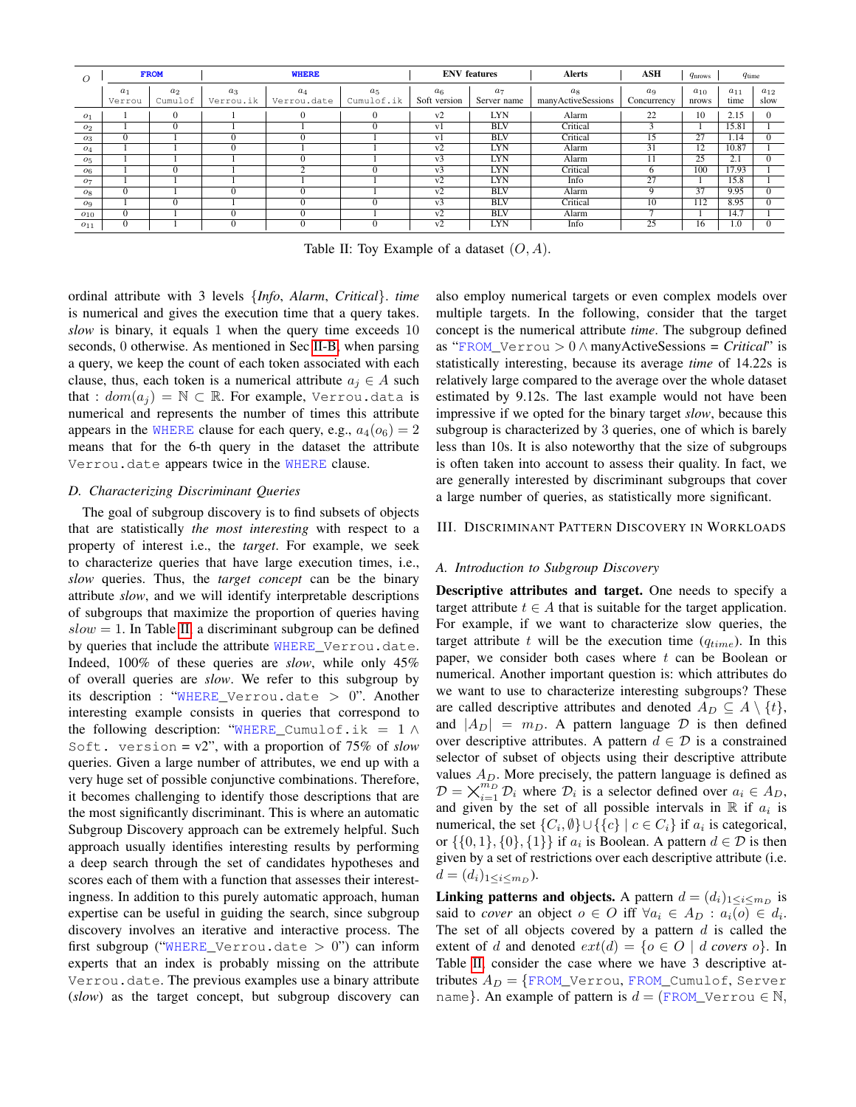<span id="page-3-1"></span>

| $\Omega$       |                 | <b>FROM</b>               |                    | <b>WHERE</b>                       |          |                                | <b>ENV</b> features           | <b>Alerts</b>               | ASH                           | $q_{\text{nrows}}$ | $q_{time}$       |                  |
|----------------|-----------------|---------------------------|--------------------|------------------------------------|----------|--------------------------------|-------------------------------|-----------------------------|-------------------------------|--------------------|------------------|------------------|
|                | $a_1$<br>Verrou | a <sub>2</sub><br>Cumulof | $a_3$<br>Verrou.ik | $a_4$<br>Cumulof.ik<br>Verrou.date |          | a <sub>6</sub><br>Soft version | a <sub>7</sub><br>Server name | $a_8$<br>manyActiveSessions | a <sub>9</sub><br>Concurrency | $a_{10}$<br>nrows  | $a_{11}$<br>time | $a_{12}$<br>slow |
| o <sub>1</sub> |                 | $\Omega$                  |                    | $\Omega$                           | $\Omega$ | v2                             | LYN                           | Alarm                       | 22                            | 10                 | 2.15             | $\Omega$         |
| O <sub>2</sub> |                 | $\Omega$                  |                    |                                    | $\Omega$ | v <sub>1</sub>                 | <b>BLV</b>                    | Critical                    |                               |                    | 15.81            |                  |
| - 03           | $\Omega$        |                           |                    | $\Omega$                           |          | v <sub>1</sub>                 | <b>BLV</b>                    | Critical                    |                               | 27                 | 1.14             | $\Omega$         |
| $o_4$          |                 |                           |                    |                                    |          | $\overline{v2}$                | <b>LYN</b>                    | Alarm                       | 31                            | $\overline{12}$    | 10.87            |                  |
| O <sub>5</sub> |                 |                           |                    | $\overline{0}$                     |          | $v_3$                          | <b>LYN</b>                    | Alarm                       |                               | 25                 | 2.1              | $\Omega$         |
| O6             |                 | $\Omega$                  |                    | $\sim$                             | 0        | v <sub>3</sub>                 | <b>LYN</b>                    | Critical                    |                               | 100                | 17.93            |                  |
| - 07           |                 |                           |                    |                                    |          | v <sub>2</sub>                 | <b>LYN</b>                    | Info                        | 27                            |                    | 15.8             |                  |
| $o_8$          | $\Omega$        |                           |                    | $\Omega$                           |          | v2                             | <b>BLV</b>                    | Alarm                       | Q                             | 37                 | 9.95             | $\overline{0}$   |
| - 09           |                 | $\Omega$                  |                    | $\overline{0}$                     |          | v <sub>3</sub>                 | <b>BLV</b>                    | Critical                    | 10                            | 112                | 8.95             | $\overline{0}$   |
| $O_{10}$       | $\Omega$        |                           |                    | $\Omega$                           |          | v2                             | <b>BLV</b>                    | Alarm                       |                               |                    | 14.7             |                  |
| $o_{11}$       | $\Omega$        |                           |                    | $\Omega$                           | $\Omega$ | v2                             | <b>LYN</b>                    | Info                        | 25                            | 16                 | 1.0              | $\Omega$         |

Table II: Toy Example of a dataset  $(O, A)$ .

ordinal attribute with 3 levels {*Info*, *Alarm*, *Critical*}. *time* is numerical and gives the execution time that a query takes. *slow* is binary, it equals 1 when the query time exceeds 10 seconds, 0 otherwise. As mentioned in Sec [II-B,](#page-2-1) when parsing a query, we keep the count of each token associated with each clause, thus, each token is a numerical attribute  $a_i \in A$  such that :  $dom(a_i) = \mathbb{N} \subset \mathbb{R}$ . For example, Verrou.data is numerical and represents the number of times this attribute appears in the WHERE clause for each query, e.g.,  $a_4(o_6) = 2$ means that for the 6-th query in the dataset the attribute Verrou.date appears twice in the WHERE clause.

## *D. Characterizing Discriminant Queries*

The goal of subgroup discovery is to find subsets of objects that are statistically *the most interesting* with respect to a property of interest i.e., the *target*. For example, we seek to characterize queries that have large execution times, i.e., *slow* queries. Thus, the *target concept* can be the binary attribute *slow*, and we will identify interpretable descriptions of subgroups that maximize the proportion of queries having  $slow = 1$ . In Table [II,](#page-3-1) a discriminant subgroup can be defined by queries that include the attribute WHERE\_Verrou.date. Indeed, 100% of these queries are *slow*, while only 45% of overall queries are *slow*. We refer to this subgroup by its description : "WHERE\_Verrou.date  $> 0$ ". Another interesting example consists in queries that correspond to the following description: "WHERE\_Cumulof.ik =  $1 \wedge$ Soft. version = v2", with a proportion of 75% of *slow* queries. Given a large number of attributes, we end up with a very huge set of possible conjunctive combinations. Therefore, it becomes challenging to identify those descriptions that are the most significantly discriminant. This is where an automatic Subgroup Discovery approach can be extremely helpful. Such approach usually identifies interesting results by performing a deep search through the set of candidates hypotheses and scores each of them with a function that assesses their interestingness. In addition to this purely automatic approach, human expertise can be useful in guiding the search, since subgroup discovery involves an iterative and interactive process. The first subgroup ("WHERE\_Verrou.date  $> 0$ ") can inform experts that an index is probably missing on the attribute Verrou.date. The previous examples use a binary attribute (*slow*) as the target concept, but subgroup discovery can also employ numerical targets or even complex models over multiple targets. In the following, consider that the target concept is the numerical attribute *time*. The subgroup defined as "FROM\_Verrou > 0 ∧ manyActiveSessions = *Critical*" is statistically interesting, because its average *time* of 14.22s is relatively large compared to the average over the whole dataset estimated by 9.12s. The last example would not have been impressive if we opted for the binary target *slow*, because this subgroup is characterized by 3 queries, one of which is barely less than 10s. It is also noteworthy that the size of subgroups is often taken into account to assess their quality. In fact, we are generally interested by discriminant subgroups that cover a large number of queries, as statistically more significant.

#### <span id="page-3-0"></span>III. DISCRIMINANT PATTERN DISCOVERY IN WORKLOADS

#### *A. Introduction to Subgroup Discovery*

Descriptive attributes and target. One needs to specify a target attribute  $t \in A$  that is suitable for the target application. For example, if we want to characterize slow queries, the target attribute t will be the execution time  $(q_{time})$ . In this paper, we consider both cases where  $t$  can be Boolean or numerical. Another important question is: which attributes do we want to use to characterize interesting subgroups? These are called descriptive attributes and denoted  $A_D \subseteq A \setminus \{t\},$ and  $|A_D| = m_D$ . A pattern language D is then defined over descriptive attributes. A pattern  $d \in \mathcal{D}$  is a constrained selector of subset of objects using their descriptive attribute values  $A_D$ . More precisely, the pattern language is defined as  $\mathcal{D} = \bigtimes_{i=1}^{m_D} \mathcal{D}_i$  where  $\mathcal{D}_i$  is a selector defined over  $a_i \in A_D$ , and given by the set of all possible intervals in  $\mathbb R$  if  $a_i$  is numerical, the set  $\{C_i, \emptyset\} \cup \{\{c\} \mid c \in C_i\}$  if  $a_i$  is categorical, or  $\{\{0,1\},\{0\},\{1\}\}\$  if  $a_i$  is Boolean. A pattern  $d \in \mathcal{D}$  is then given by a set of restrictions over each descriptive attribute (i.e.  $d = (d_i)_{1 \leq i \leq m_D}$ ).

**Linking patterns and objects.** A pattern  $d = (d_i)_{1 \leq i \leq m_D}$  is said to *cover* an object  $o \in O$  iff  $\forall a_i \in A_D : a_i(o) \in d_i$ . The set of all objects covered by a pattern  $d$  is called the extent of d and denoted  $ext(d) = \{o \in O \mid d \text{ covers } o\}$ . In Table [II,](#page-3-1) consider the case where we have 3 descriptive attributes  $A_D = \{$  FROM\_Verrou, FROM\_Cumulof, Server name}. An example of pattern is  $d = (FROM \,$  Verrou  $\in \mathbb{N}$ ,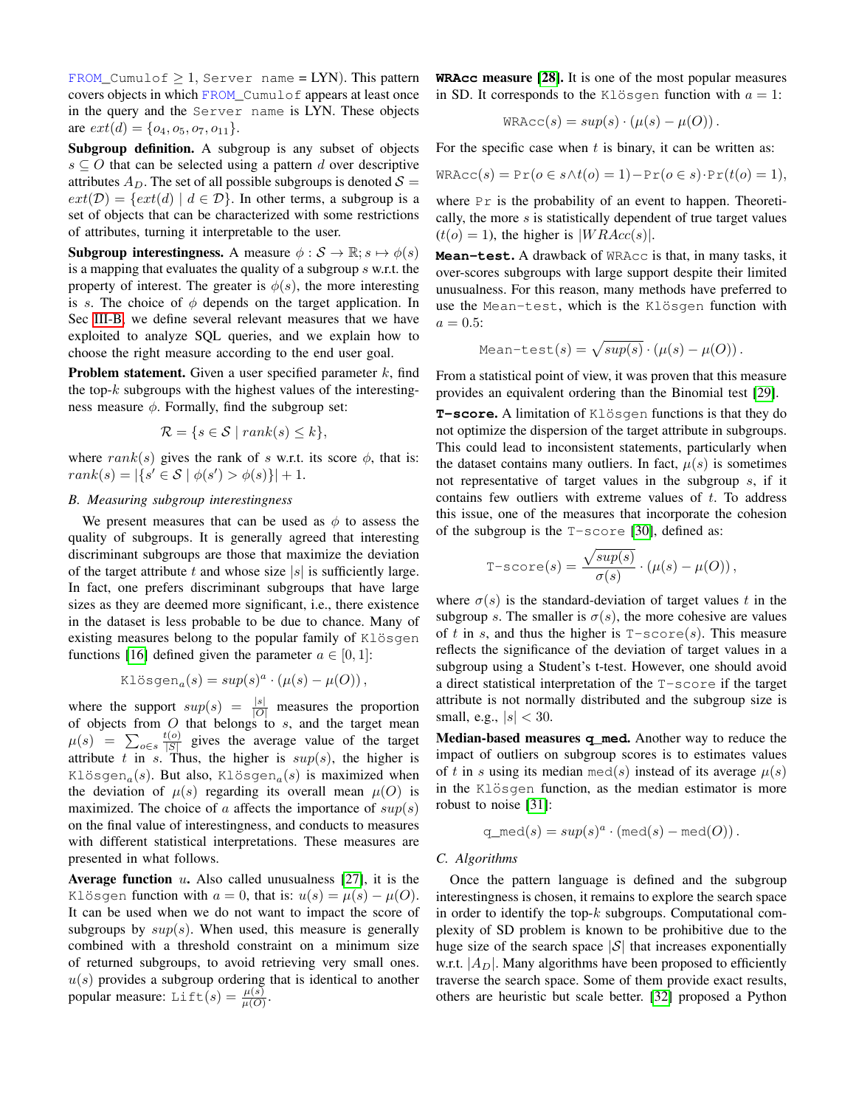FROM\_Cumulof  $\geq 1$ , Server name = LYN). This pattern covers objects in which FROM\_Cumulof appears at least once in the query and the Server name is LYN. These objects are  $ext(d) = \{o_4, o_5, o_7, o_{11}\}.$ 

Subgroup definition. A subgroup is any subset of objects  $s \subseteq O$  that can be selected using a pattern d over descriptive attributes  $A_D$ . The set of all possible subgroups is denoted  $S =$  $ext(\mathcal{D}) = \{ext(d) | d \in \mathcal{D}\}\.$  In other terms, a subgroup is a set of objects that can be characterized with some restrictions of attributes, turning it interpretable to the user.

**Subgroup interestingness.** A measure  $\phi : \mathcal{S} \to \mathbb{R}; s \mapsto \phi(s)$ is a mapping that evaluates the quality of a subgroup s w.r.t. the property of interest. The greater is  $\phi(s)$ , the more interesting is s. The choice of  $\phi$  depends on the target application. In Sec [III-B,](#page-4-0) we define several relevant measures that we have exploited to analyze SQL queries, and we explain how to choose the right measure according to the end user goal.

**Problem statement.** Given a user specified parameter  $k$ , find the top- $k$  subgroups with the highest values of the interestingness measure  $\phi$ . Formally, find the subgroup set:

$$
\mathcal{R} = \{ s \in \mathcal{S} \mid rank(s) \le k \},\
$$

where rank(s) gives the rank of s w.r.t. its score  $\phi$ , that is:  $rank(s) = |\{s' \in S \mid \phi(s') > \phi(s)\}| + 1.$ 

# <span id="page-4-0"></span>*B. Measuring subgroup interestingness*

We present measures that can be used as  $\phi$  to assess the quality of subgroups. It is generally agreed that interesting discriminant subgroups are those that maximize the deviation of the target attribute t and whose size  $|s|$  is sufficiently large. In fact, one prefers discriminant subgroups that have large sizes as they are deemed more significant, i.e., there existence in the dataset is less probable to be due to chance. Many of existing measures belong to the popular family of  $KLS$ functions [\[16\]](#page-10-14) defined given the parameter  $a \in [0, 1]$ :

Klösgen<sub>a</sub>
$$
(s) = sup(s)^a \cdot (\mu(s) - \mu(O)),
$$

where the support  $sup(s) = \frac{|s|}{|O|}$  measures the proportion of objects from  $O$  that belongs to  $s$ , and the target mean  $\mu(s) = \sum_{o \in s} \frac{t(o)}{|S|}$  $\frac{\partial f(z)}{\partial |S|}$  gives the average value of the target attribute t in s. Thus, the higher is  $sup(s)$ , the higher is Klösgen<sub>a</sub>(s). But also, Klösgen<sub>a</sub>(s) is maximized when the deviation of  $\mu(s)$  regarding its overall mean  $\mu(O)$  is maximized. The choice of a affects the importance of  $sup(s)$ on the final value of interestingness, and conducts to measures with different statistical interpretations. These measures are presented in what follows.

Average function  $u$ . Also called unusualness [\[27\]](#page-10-25), it is the Klösgen function with  $a = 0$ , that is:  $u(s) = \mu(s) - \mu(0)$ . It can be used when we do not want to impact the score of subgroups by  $sup(s)$ . When used, this measure is generally combined with a threshold constraint on a minimum size of returned subgroups, to avoid retrieving very small ones.  $u(s)$  provides a subgroup ordering that is identical to another popular measure: Lift(s) =  $\frac{\mu(s)}{\mu(O)}$ .

**WRAcc** measure [\[28\]](#page-10-26). It is one of the most popular measures in SD. It corresponds to the Klösgen function with  $a = 1$ :

$$
\text{WRAcc}(s) = \sup(s) \cdot (\mu(s) - \mu(O)).
$$

For the specific case when  $t$  is binary, it can be written as:

$$
\text{WRAcc}(s) = \Pr(o \in s \land t(o) = 1) - \Pr(o \in s) \cdot \Pr(t(o) = 1),
$$

where  $Pr$  is the probability of an event to happen. Theoretically, the more  $s$  is statistically dependent of true target values  $(t(o) = 1)$ , the higher is  $|WRAcc(s)|$ .

**Mean-test**. A drawback of WRAcc is that, in many tasks, it over-scores subgroups with large support despite their limited unusualness. For this reason, many methods have preferred to use the Mean-test, which is the Klösgen function with  $a = 0.5$ :

Mean-test(s) = 
$$
\sqrt{sup(s)} \cdot (\mu(s) - \mu(O)).
$$

From a statistical point of view, it was proven that this measure provides an equivalent ordering than the Binomial test [\[29\]](#page-10-27).

T-score. A limitation of Klösgen functions is that they do not optimize the dispersion of the target attribute in subgroups. This could lead to inconsistent statements, particularly when the dataset contains many outliers. In fact,  $\mu(s)$  is sometimes not representative of target values in the subgroup s, if it contains few outliers with extreme values of  $t$ . To address this issue, one of the measures that incorporate the cohesion of the subgroup is the T-score [\[30\]](#page-10-28), defined as:

$$
\text{T-score}(s) = \frac{\sqrt{sup(s)}}{\sigma(s)} \cdot (\mu(s) - \mu(O)),
$$

where  $\sigma(s)$  is the standard-deviation of target values t in the subgroup s. The smaller is  $\sigma(s)$ , the more cohesive are values of t in s, and thus the higher is  $T-score(s)$ . This measure reflects the significance of the deviation of target values in a subgroup using a Student's t-test. However, one should avoid a direct statistical interpretation of the T-score if the target attribute is not normally distributed and the subgroup size is small, e.g.,  $|s| < 30$ .

Median-based measures **q\_med**. Another way to reduce the impact of outliers on subgroup scores is to estimates values of t in s using its median med(s) instead of its average  $\mu(s)$ in the Klösgen function, as the median estimator is more robust to noise [\[31\]](#page-10-29):

$$
q\_med(s) = sup(s)^a \cdot (med(s) - med(O)).
$$

#### <span id="page-4-1"></span>*C. Algorithms*

Once the pattern language is defined and the subgroup interestingness is chosen, it remains to explore the search space in order to identify the top- $k$  subgroups. Computational complexity of SD problem is known to be prohibitive due to the huge size of the search space  $|S|$  that increases exponentially w.r.t.  $|A_D|$ . Many algorithms have been proposed to efficiently traverse the search space. Some of them provide exact results, others are heuristic but scale better. [\[32\]](#page-10-30) proposed a Python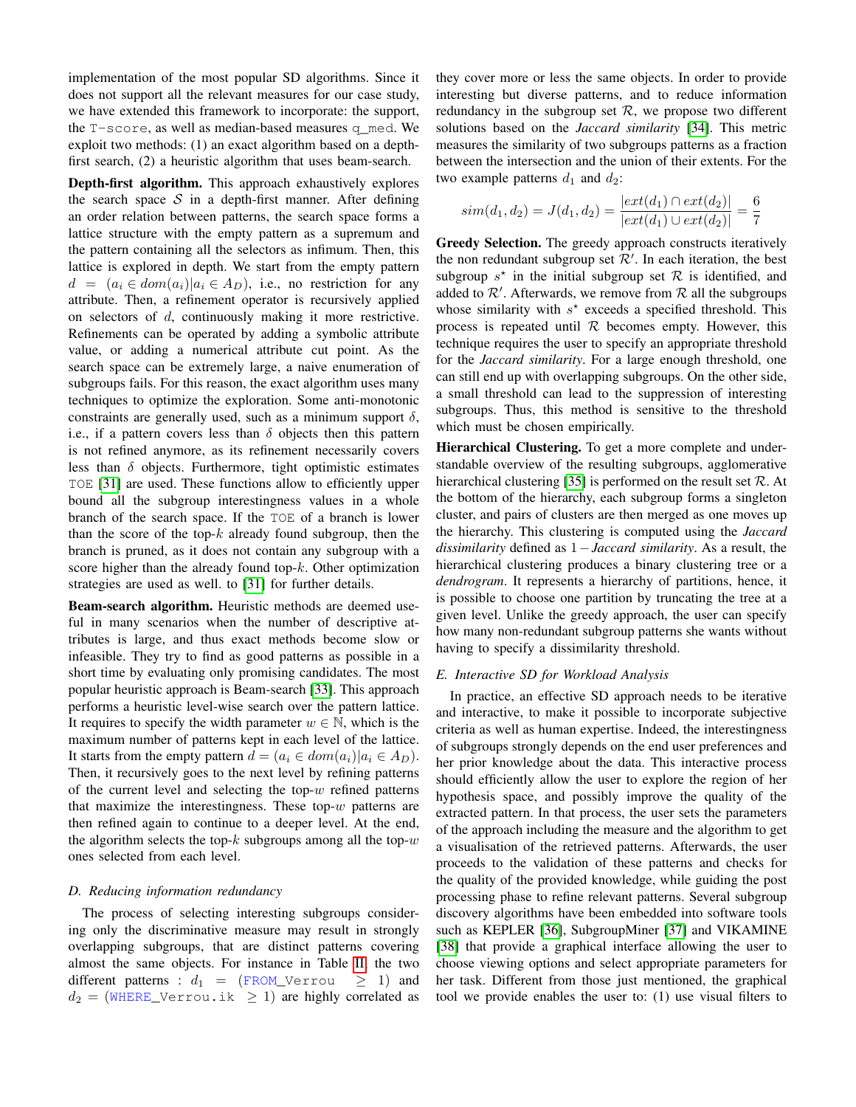implementation of the most popular SD algorithms. Since it does not support all the relevant measures for our case study, we have extended this framework to incorporate: the support, the T-score, as well as median-based measures q\_med. We exploit two methods: (1) an exact algorithm based on a depthfirst search, (2) a heuristic algorithm that uses beam-search.

Depth-first algorithm. This approach exhaustively explores the search space  $S$  in a depth-first manner. After defining an order relation between patterns, the search space forms a lattice structure with the empty pattern as a supremum and the pattern containing all the selectors as infimum. Then, this lattice is explored in depth. We start from the empty pattern  $d = (a_i \in dom(a_i)|a_i \in A_D)$ , i.e., no restriction for any attribute. Then, a refinement operator is recursively applied on selectors of d, continuously making it more restrictive. Refinements can be operated by adding a symbolic attribute value, or adding a numerical attribute cut point. As the search space can be extremely large, a naive enumeration of subgroups fails. For this reason, the exact algorithm uses many techniques to optimize the exploration. Some anti-monotonic constraints are generally used, such as a minimum support  $\delta$ , i.e., if a pattern covers less than  $\delta$  objects then this pattern is not refined anymore, as its refinement necessarily covers less than  $\delta$  objects. Furthermore, tight optimistic estimates TOE [\[31\]](#page-10-29) are used. These functions allow to efficiently upper bound all the subgroup interestingness values in a whole branch of the search space. If the TOE of a branch is lower than the score of the top- $k$  already found subgroup, then the branch is pruned, as it does not contain any subgroup with a score higher than the already found top- $k$ . Other optimization strategies are used as well. to [\[31\]](#page-10-29) for further details.

Beam-search algorithm. Heuristic methods are deemed useful in many scenarios when the number of descriptive attributes is large, and thus exact methods become slow or infeasible. They try to find as good patterns as possible in a short time by evaluating only promising candidates. The most popular heuristic approach is Beam-search [\[33\]](#page-10-31). This approach performs a heuristic level-wise search over the pattern lattice. It requires to specify the width parameter  $w \in \mathbb{N}$ , which is the maximum number of patterns kept in each level of the lattice. It starts from the empty pattern  $d = (a_i \in dom(a_i)|a_i \in A_D)$ . Then, it recursively goes to the next level by refining patterns of the current level and selecting the top- $w$  refined patterns that maximize the interestingness. These top- $w$  patterns are then refined again to continue to a deeper level. At the end, the algorithm selects the top- $k$  subgroups among all the top- $w$ ones selected from each level.

## <span id="page-5-0"></span>*D. Reducing information redundancy*

The process of selecting interesting subgroups considering only the discriminative measure may result in strongly overlapping subgroups, that are distinct patterns covering almost the same objects. For instance in Table [II,](#page-3-1) the two different patterns :  $d_1 = (FROM_Verror \geq 1)$  and  $d_2 =$  (WHERE\_Verrou.ik  $\geq 1$ ) are highly correlated as they cover more or less the same objects. In order to provide interesting but diverse patterns, and to reduce information redundancy in the subgroup set  $R$ , we propose two different solutions based on the *Jaccard similarity* [\[34\]](#page-10-32). This metric measures the similarity of two subgroups patterns as a fraction between the intersection and the union of their extents. For the two example patterns  $d_1$  and  $d_2$ :

$$
sim(d_1, d_2) = J(d_1, d_2) = \frac{|ext(d_1) \cap ext(d_2)|}{|ext(d_1) \cup ext(d_2)|} = \frac{6}{7}
$$

Greedy Selection. The greedy approach constructs iteratively the non redundant subgroup set  $\mathcal{R}'$ . In each iteration, the best subgroup  $s^*$  in the initial subgroup set  $\mathcal R$  is identified, and added to  $\mathcal{R}'$ . Afterwards, we remove from  $\mathcal R$  all the subgroups whose similarity with  $s^*$  exceeds a specified threshold. This process is repeated until  $R$  becomes empty. However, this technique requires the user to specify an appropriate threshold for the *Jaccard similarity*. For a large enough threshold, one can still end up with overlapping subgroups. On the other side, a small threshold can lead to the suppression of interesting subgroups. Thus, this method is sensitive to the threshold which must be chosen empirically.

Hierarchical Clustering. To get a more complete and understandable overview of the resulting subgroups, agglomerative hierarchical clustering [\[35\]](#page-10-33) is performed on the result set  $\mathcal{R}$ . At the bottom of the hierarchy, each subgroup forms a singleton cluster, and pairs of clusters are then merged as one moves up the hierarchy. This clustering is computed using the *Jaccard dissimilarity* defined as 1−*Jaccard similarity*. As a result, the hierarchical clustering produces a binary clustering tree or a *dendrogram*. It represents a hierarchy of partitions, hence, it is possible to choose one partition by truncating the tree at a given level. Unlike the greedy approach, the user can specify how many non-redundant subgroup patterns she wants without having to specify a dissimilarity threshold.

## <span id="page-5-1"></span>*E. Interactive SD for Workload Analysis*

In practice, an effective SD approach needs to be iterative and interactive, to make it possible to incorporate subjective criteria as well as human expertise. Indeed, the interestingness of subgroups strongly depends on the end user preferences and her prior knowledge about the data. This interactive process should efficiently allow the user to explore the region of her hypothesis space, and possibly improve the quality of the extracted pattern. In that process, the user sets the parameters of the approach including the measure and the algorithm to get a visualisation of the retrieved patterns. Afterwards, the user proceeds to the validation of these patterns and checks for the quality of the provided knowledge, while guiding the post processing phase to refine relevant patterns. Several subgroup discovery algorithms have been embedded into software tools such as KEPLER [\[36\]](#page-10-34), SubgroupMiner [\[37\]](#page-10-35) and VIKAMINE [\[38\]](#page-10-36) that provide a graphical interface allowing the user to choose viewing options and select appropriate parameters for her task. Different from those just mentioned, the graphical tool we provide enables the user to: (1) use visual filters to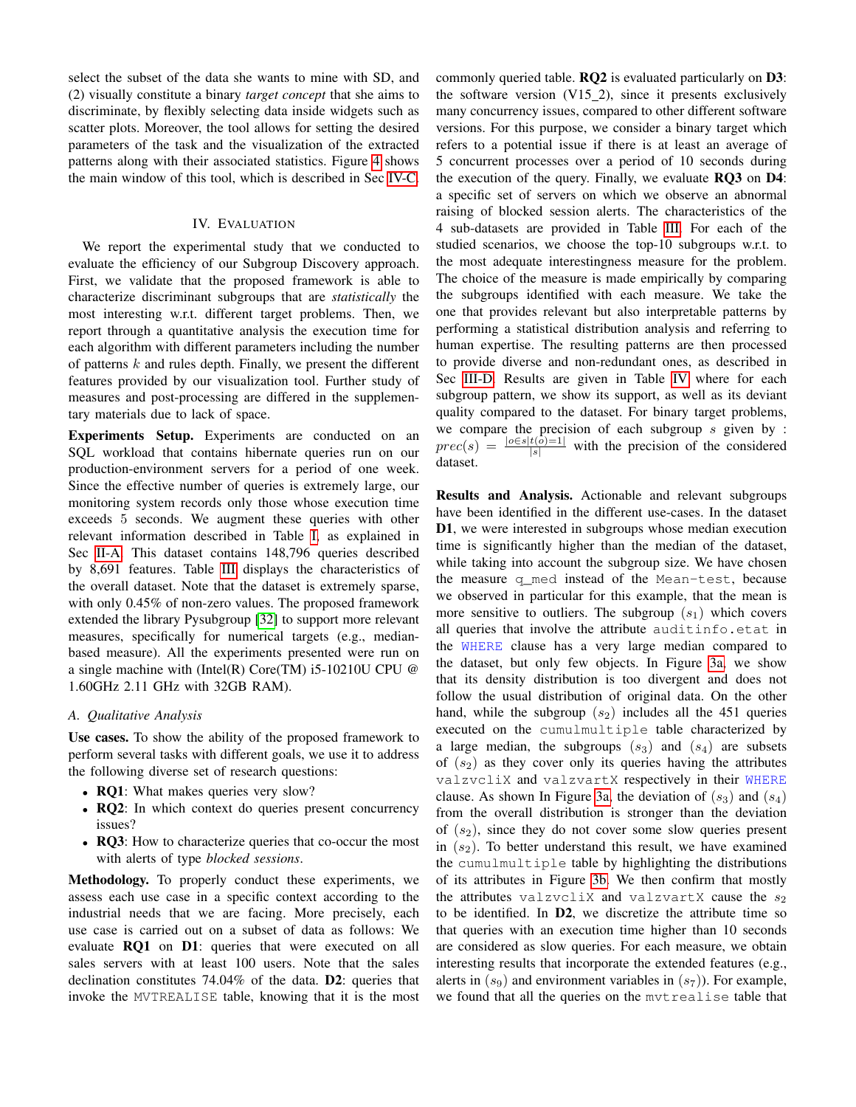select the subset of the data she wants to mine with SD, and (2) visually constitute a binary *target concept* that she aims to discriminate, by flexibly selecting data inside widgets such as scatter plots. Moreover, the tool allows for setting the desired parameters of the task and the visualization of the extracted patterns along with their associated statistics. Figure [4](#page-9-0) shows the main window of this tool, which is described in Sec [IV-C.](#page-8-1)

#### IV. EVALUATION

<span id="page-6-0"></span>We report the experimental study that we conducted to evaluate the efficiency of our Subgroup Discovery approach. First, we validate that the proposed framework is able to characterize discriminant subgroups that are *statistically* the most interesting w.r.t. different target problems. Then, we report through a quantitative analysis the execution time for each algorithm with different parameters including the number of patterns k and rules depth. Finally, we present the different features provided by our visualization tool. Further study of measures and post-processing are differed in the supplementary materials due to lack of space.

Experiments Setup. Experiments are conducted on an SQL workload that contains hibernate queries run on our production-environment servers for a period of one week. Since the effective number of queries is extremely large, our monitoring system records only those whose execution time exceeds 5 seconds. We augment these queries with other relevant information described in Table [I,](#page-2-2) as explained in Sec [II-A.](#page-1-3) This dataset contains 148,796 queries described by 8,691 features. Table [III](#page-7-0) displays the characteristics of the overall dataset. Note that the dataset is extremely sparse, with only 0.45% of non-zero values. The proposed framework extended the library Pysubgroup [\[32\]](#page-10-30) to support more relevant measures, specifically for numerical targets (e.g., medianbased measure). All the experiments presented were run on a single machine with (Intel(R) Core(TM) i5-10210U CPU @ 1.60GHz 2.11 GHz with 32GB RAM).

# *A. Qualitative Analysis*

Use cases. To show the ability of the proposed framework to perform several tasks with different goals, we use it to address the following diverse set of research questions:

- RQ1: What makes queries very slow?
- RQ2: In which context do queries present concurrency issues?
- RQ3: How to characterize queries that co-occur the most with alerts of type *blocked sessions*.

Methodology. To properly conduct these experiments, we assess each use case in a specific context according to the industrial needs that we are facing. More precisely, each use case is carried out on a subset of data as follows: We evaluate RQ1 on D1: queries that were executed on all sales servers with at least 100 users. Note that the sales declination constitutes 74.04% of the data. D2: queries that invoke the MVTREALISE table, knowing that it is the most commonly queried table. RQ2 is evaluated particularly on D3: the software version  $(V15_2)$ , since it presents exclusively many concurrency issues, compared to other different software versions. For this purpose, we consider a binary target which refers to a potential issue if there is at least an average of 5 concurrent processes over a period of 10 seconds during the execution of the query. Finally, we evaluate RQ3 on D4: a specific set of servers on which we observe an abnormal raising of blocked session alerts. The characteristics of the 4 sub-datasets are provided in Table [III.](#page-7-0) For each of the studied scenarios, we choose the top-10 subgroups w.r.t. to the most adequate interestingness measure for the problem. The choice of the measure is made empirically by comparing the subgroups identified with each measure. We take the one that provides relevant but also interpretable patterns by performing a statistical distribution analysis and referring to human expertise. The resulting patterns are then processed to provide diverse and non-redundant ones, as described in Sec [III-D.](#page-5-0) Results are given in Table [IV](#page-7-1) where for each subgroup pattern, we show its support, as well as its deviant quality compared to the dataset. For binary target problems, we compare the precision of each subgroup  $s$  given by :  $prec(s) = \frac{|o \in s | t(\delta) = 1|}{|s|}$  with the precision of the considered dataset.

Results and Analysis. Actionable and relevant subgroups have been identified in the different use-cases. In the dataset D1, we were interested in subgroups whose median execution time is significantly higher than the median of the dataset, while taking into account the subgroup size. We have chosen the measure q\_med instead of the Mean-test, because we observed in particular for this example, that the mean is more sensitive to outliers. The subgroup  $(s_1)$  which covers all queries that involve the attribute auditinfo.etat in the WHERE clause has a very large median compared to the dataset, but only few objects. In Figure [3a,](#page-7-2) we show that its density distribution is too divergent and does not follow the usual distribution of original data. On the other hand, while the subgroup  $(s_2)$  includes all the 451 queries executed on the cumulmultiple table characterized by a large median, the subgroups  $(s_3)$  and  $(s_4)$  are subsets of  $(s<sub>2</sub>)$  as they cover only its queries having the attributes valzvcliX and valzvartX respectively in their WHERE clause. As shown In Figure [3a,](#page-7-2) the deviation of  $(s_3)$  and  $(s_4)$ from the overall distribution is stronger than the deviation of  $(s_2)$ , since they do not cover some slow queries present in  $(s<sub>2</sub>)$ . To better understand this result, we have examined the cumulmultiple table by highlighting the distributions of its attributes in Figure [3b.](#page-7-3) We then confirm that mostly the attributes valzvcliX and valzvartX cause the  $s_2$ to be identified. In D2, we discretize the attribute time so that queries with an execution time higher than 10 seconds are considered as slow queries. For each measure, we obtain interesting results that incorporate the extended features (e.g., alerts in  $(s_9)$  and environment variables in  $(s_7)$ ). For example, we found that all the queries on the mvtrealise table that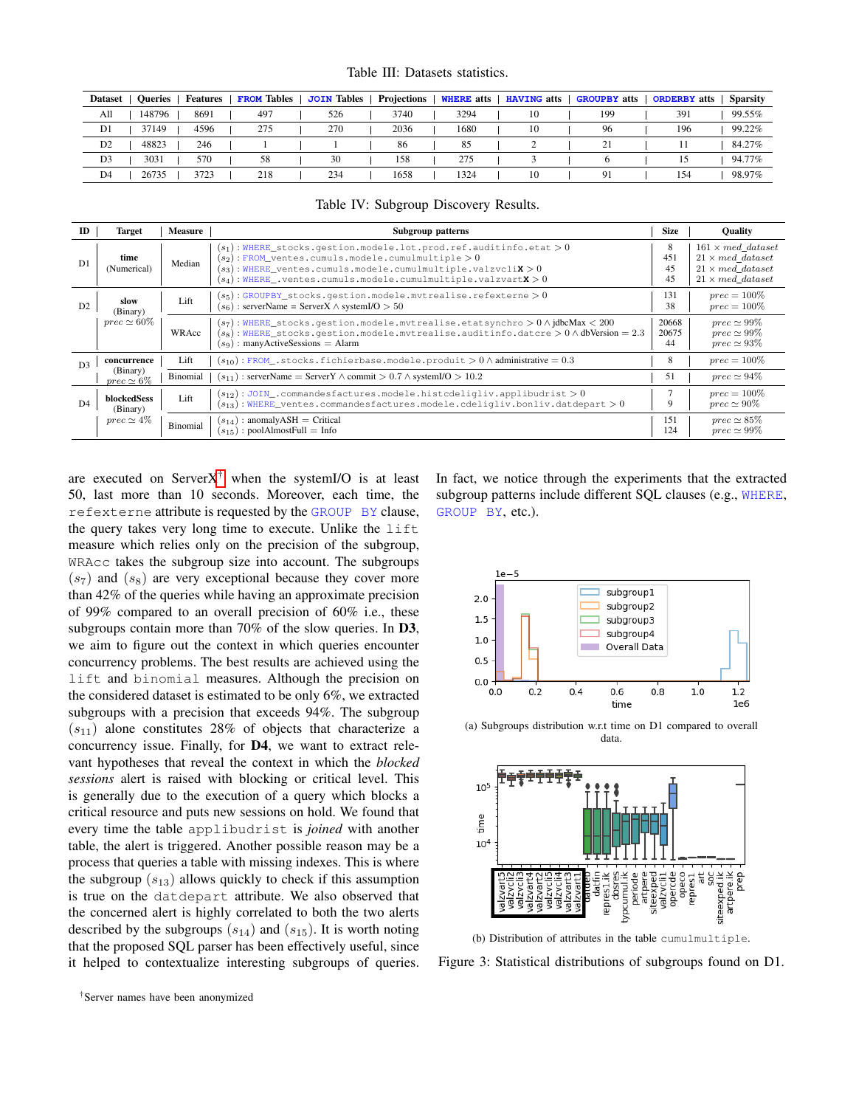Table III: Datasets statistics.

<span id="page-7-0"></span>

| <b>Dataset</b><br><b>Oueries</b> | <b>Features</b> | <b>FROM</b> Tables | <b>JOIN Tables</b> | Projections | <b>WHERE</b> atts | <b>HAVING</b> atts | <b>GROUPBY</b> atts | <b>ORDERBY</b> atts | <b>Sparsity</b> |
|----------------------------------|-----------------|--------------------|--------------------|-------------|-------------------|--------------------|---------------------|---------------------|-----------------|
| All<br>148796                    | 8691            | 497                | 526                | 3740        | 3294              | 10                 | 199                 | 391                 | 99.55%          |
| D <sub>1</sub><br>37149          | 4596            | 275                | 270                | 2036        | 1680              | 10                 | 96                  | 196                 | 99.22%          |
| D <sub>2</sub><br>48823          | 246             |                    |                    | 86          | 85                |                    | 21                  |                     | 84.27%          |
| D <sub>3</sub><br>3031           | 570             | 58                 | 30                 | 158         | 275               |                    |                     |                     | 94.77%          |
| 26735<br>D <sub>4</sub>          | 3723            | 218                | 234                | 1658        | 1324              | 10                 | 9                   | 154                 | 98.97%          |

Table IV: Subgroup Discovery Results.

<span id="page-7-1"></span>

| <b>ID</b>      | <b>Target</b>                 | <b>Measure</b>  | Subgroup patterns                                                                                                                                                                                                                                                                  | <b>Size</b>          | <b>Ouality</b>                                                                                            |
|----------------|-------------------------------|-----------------|------------------------------------------------------------------------------------------------------------------------------------------------------------------------------------------------------------------------------------------------------------------------------------|----------------------|-----------------------------------------------------------------------------------------------------------|
| D1             | time<br>(Numerical)           | Median          | $(s_1)$ : WHERE_stocks.gestion.modele.lot.prod.ref.auditinfo.etat > 0<br>$(s_2)$ : FROM_ventes.cumuls.modele.cumulmultiple > 0<br>$(s_3)$ : WHERE ventes.cumuls.modele.cumulmultiple.valzvcli $\mathbf{x} > 0$<br>$(s_4)$ : WHERE ventes.cumuls.modele.cumulmultiple.valzvartX > 0 | 8<br>451<br>45<br>45 | $161 \times med$ dataset<br>$21 \times med$ dataset<br>$21 \times med$ dataset<br>$21 \times med$ dataset |
| D <sub>2</sub> | slow<br>(Binary)              | Lift            | $(s_5)$ : GROUPBY_stocks.gestion.modele.mvtrealise.refexterne > 0<br>$(s6)$ : serverName = ServerX $\land$ systemI/O > 50                                                                                                                                                          | 131<br>38            | $prec = 100\%$<br>$prec = 100\%$                                                                          |
|                | $prec \simeq 60\%$            | WRAcc           | $(s_7)$ : WHERE stocks.gestion.modele.mvtrealise.etatsynchro $> 0 \wedge$ jdbcMax < 200<br>$(s_8)$ : WHERE stocks.gestion.modele.mvtrealise.auditinfo.datcre $> 0 \wedge$ dbVersion = 2.3<br>: many Active Sessions $=$ Alarm<br>$(s_9)$                                           | 20668<br>20675<br>44 | $prec \simeq 99\%$<br>$prec \simeq 99\%$<br>$prec \simeq 93\%$                                            |
| D <sub>3</sub> | concurrence                   | Lift            | $(s_{10})$ : FROM_.stocks.fichierbase.modele.produit > 0 $\land$ administrative = 0.3                                                                                                                                                                                              | 8                    | $prec = 100\%$                                                                                            |
|                | (Binary)<br>$prec \simeq 6\%$ | Binomial        | $(s_{11})$ : serverName = ServerY $\land$ commit > 0.7 $\land$ systemI/O > 10.2                                                                                                                                                                                                    | 51                   | $prec \simeq 94\%$                                                                                        |
| D <sub>4</sub> | blockedSess<br>(Binary)       | Lift            | $(s_{12})$ : JOIN_.commandesfactures.modele.histcdeligliv.applibudrist > 0<br>$(s_{13})$ : WHERE ventes.commandesfactures.modele.cdeligliv.bonliv.datdepart > 0                                                                                                                    | 9                    | $prec = 100\%$<br>$prec \simeq 90\%$                                                                      |
|                | $prec \simeq 4\%$             | <b>Binomial</b> | $(s_{14})$ : anomalyASH = Critical<br>$(s_{15})$ : poolAlmostFull = Info                                                                                                                                                                                                           | 151<br>124           | $prec \simeq 85\%$<br>$prec \simeq 99\%$                                                                  |

are executed on Server $X^{\dagger}$  when the systemI/O is at least 50, last more than 10 seconds. Moreover, each time, the refexterne attribute is requested by the GROUP BY clause, the query takes very long time to execute. Unlike the lift measure which relies only on the precision of the subgroup, WRAcc takes the subgroup size into account. The subgroups  $(s<sub>7</sub>)$  and  $(s<sub>8</sub>)$  are very exceptional because they cover more than 42% of the queries while having an approximate precision of 99% compared to an overall precision of 60% i.e., these subgroups contain more than 70% of the slow queries. In D3, we aim to figure out the context in which queries encounter concurrency problems. The best results are achieved using the lift and binomial measures. Although the precision on the considered dataset is estimated to be only 6%, we extracted subgroups with a precision that exceeds 94%. The subgroup  $(s_{11})$  alone constitutes 28% of objects that characterize a concurrency issue. Finally, for D4, we want to extract relevant hypotheses that reveal the context in which the *blocked sessions* alert is raised with blocking or critical level. This is generally due to the execution of a query which blocks a critical resource and puts new sessions on hold. We found that every time the table applibudrist is *joined* with another table, the alert is triggered. Another possible reason may be a process that queries a table with missing indexes. This is where the subgroup  $(s_{13})$  allows quickly to check if this assumption is true on the datdepart attribute. We also observed that the concerned alert is highly correlated to both the two alerts described by the subgroups  $(s_{14})$  and  $(s_{15})$ . It is worth noting that the proposed SQL parser has been effectively useful, since it helped to contextualize interesting subgroups of queries.

In fact, we notice through the experiments that the extracted subgroup patterns include different SQL clauses (e.g., WHERE, GROUP BY, etc.).

<span id="page-7-2"></span>

(a) Subgroups distribution w.r.t time on D1 compared to overall data.



<span id="page-7-3"></span>(b) Distribution of attributes in the table cumulmultiple.

<span id="page-7-4"></span>Figure 3: Statistical distributions of subgroups found on D1.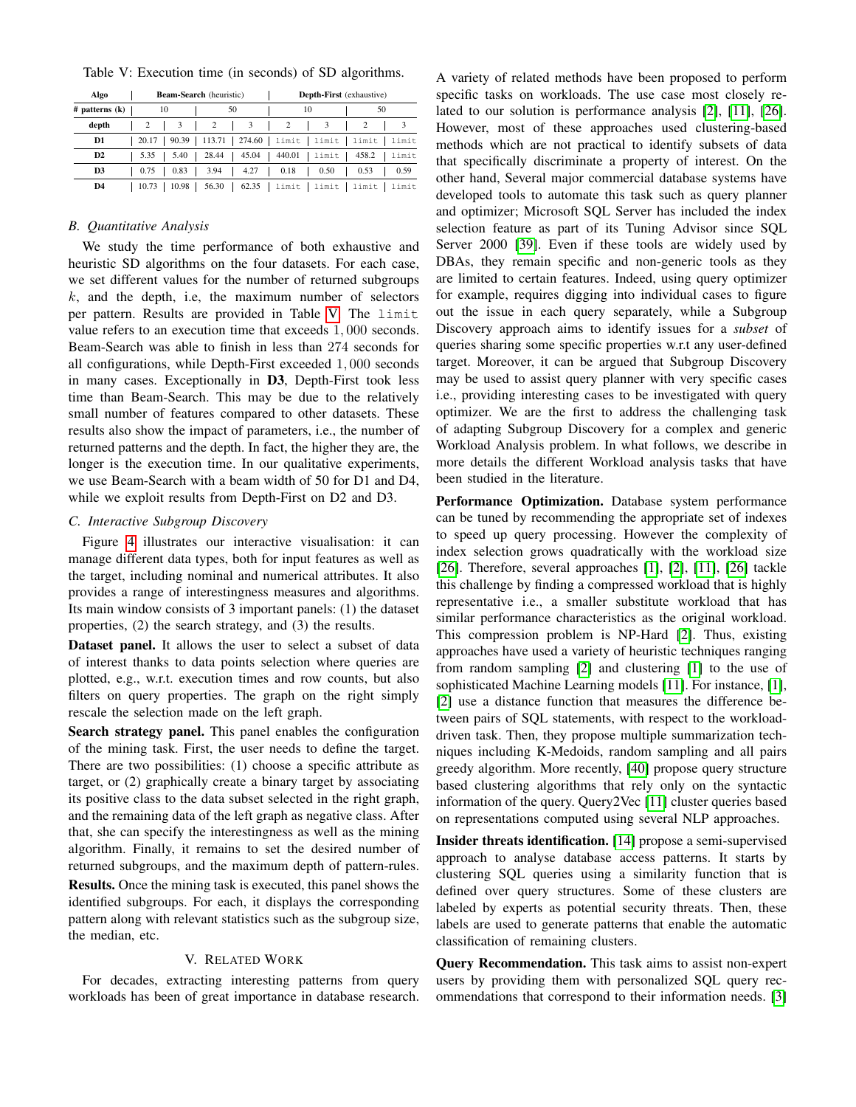<span id="page-8-2"></span>

|  |  |  |  |  |  |  |  | Table V: Execution time (in seconds) of SD algorithms. |
|--|--|--|--|--|--|--|--|--------------------------------------------------------|
|--|--|--|--|--|--|--|--|--------------------------------------------------------|

| Algo               |                |  |       | <b>Beam-Search</b> (heuristic) |          |    | <b>Depth-First</b> (exhaustive) |          |  |                                         |       |  |       |
|--------------------|----------------|--|-------|--------------------------------|----------|----|---------------------------------|----------|--|-----------------------------------------|-------|--|-------|
| $#$ patterns $(k)$ | 10             |  |       |                                |          | 50 |                                 | 10       |  | 50                                      |       |  |       |
| depth              | $\overline{c}$ |  | 3     |                                | 2        |    | 3                               | 2        |  |                                         |       |  |       |
| D1                 | 20.17          |  | 90.39 |                                | $113.71$ |    |                                 |          |  | $274.60$   limit   limit                | limit |  | limit |
| D2                 | 5.35           |  | 5.40  |                                | 28.44    |    | 45.04                           | $440.01$ |  | limit                                   | 458.2 |  | limit |
| D3                 | 0.75           |  | 0.83  |                                | 3.94     |    | 4.27                            | 0.18     |  | 0.50                                    | 0.53  |  | 0.59  |
| D4                 | 10.73          |  | 10.98 |                                | $56.30$  |    |                                 |          |  | $62.35$   limit   limit   limit   limit |       |  |       |

## *B. Quantitative Analysis*

We study the time performance of both exhaustive and heuristic SD algorithms on the four datasets. For each case, we set different values for the number of returned subgroups  $k$ , and the depth, i.e, the maximum number of selectors per pattern. Results are provided in Table [V.](#page-8-2) The limit value refers to an execution time that exceeds 1, 000 seconds. Beam-Search was able to finish in less than 274 seconds for all configurations, while Depth-First exceeded 1, 000 seconds in many cases. Exceptionally in D3, Depth-First took less time than Beam-Search. This may be due to the relatively small number of features compared to other datasets. These results also show the impact of parameters, i.e., the number of returned patterns and the depth. In fact, the higher they are, the longer is the execution time. In our qualitative experiments, we use Beam-Search with a beam width of 50 for D1 and D4, while we exploit results from Depth-First on D2 and D3.

# <span id="page-8-1"></span>*C. Interactive Subgroup Discovery*

Figure [4](#page-9-0) illustrates our interactive visualisation: it can manage different data types, both for input features as well as the target, including nominal and numerical attributes. It also provides a range of interestingness measures and algorithms. Its main window consists of 3 important panels: (1) the dataset properties, (2) the search strategy, and (3) the results.

Dataset panel. It allows the user to select a subset of data of interest thanks to data points selection where queries are plotted, e.g., w.r.t. execution times and row counts, but also filters on query properties. The graph on the right simply rescale the selection made on the left graph.

Search strategy panel. This panel enables the configuration of the mining task. First, the user needs to define the target. There are two possibilities: (1) choose a specific attribute as target, or (2) graphically create a binary target by associating its positive class to the data subset selected in the right graph, and the remaining data of the left graph as negative class. After that, she can specify the interestingness as well as the mining algorithm. Finally, it remains to set the desired number of returned subgroups, and the maximum depth of pattern-rules.

Results. Once the mining task is executed, this panel shows the identified subgroups. For each, it displays the corresponding pattern along with relevant statistics such as the subgroup size, the median, etc.

# V. RELATED WORK

<span id="page-8-0"></span>For decades, extracting interesting patterns from query workloads has been of great importance in database research.

A variety of related methods have been proposed to perform specific tasks on workloads. The use case most closely related to our solution is performance analysis [\[2\]](#page-10-1), [\[11\]](#page-10-9), [\[26\]](#page-10-24). However, most of these approaches used clustering-based methods which are not practical to identify subsets of data that specifically discriminate a property of interest. On the other hand, Several major commercial database systems have developed tools to automate this task such as query planner and optimizer; Microsoft SQL Server has included the index selection feature as part of its Tuning Advisor since SQL Server 2000 [\[39\]](#page-10-37). Even if these tools are widely used by DBAs, they remain specific and non-generic tools as they are limited to certain features. Indeed, using query optimizer for example, requires digging into individual cases to figure out the issue in each query separately, while a Subgroup Discovery approach aims to identify issues for a *subset* of queries sharing some specific properties w.r.t any user-defined target. Moreover, it can be argued that Subgroup Discovery may be used to assist query planner with very specific cases i.e., providing interesting cases to be investigated with query optimizer. We are the first to address the challenging task of adapting Subgroup Discovery for a complex and generic Workload Analysis problem. In what follows, we describe in more details the different Workload analysis tasks that have been studied in the literature.

Performance Optimization. Database system performance can be tuned by recommending the appropriate set of indexes to speed up query processing. However the complexity of index selection grows quadratically with the workload size [\[26\]](#page-10-24). Therefore, several approaches [\[1\]](#page-10-0), [\[2\]](#page-10-1), [\[11\]](#page-10-9), [\[26\]](#page-10-24) tackle this challenge by finding a compressed workload that is highly representative i.e., a smaller substitute workload that has similar performance characteristics as the original workload. This compression problem is NP-Hard [\[2\]](#page-10-1). Thus, existing approaches have used a variety of heuristic techniques ranging from random sampling [\[2\]](#page-10-1) and clustering [\[1\]](#page-10-0) to the use of sophisticated Machine Learning models [\[11\]](#page-10-9). For instance, [\[1\]](#page-10-0), [\[2\]](#page-10-1) use a distance function that measures the difference between pairs of SQL statements, with respect to the workloaddriven task. Then, they propose multiple summarization techniques including K-Medoids, random sampling and all pairs greedy algorithm. More recently, [\[40\]](#page-10-38) propose query structure based clustering algorithms that rely only on the syntactic information of the query. Query2Vec [\[11\]](#page-10-9) cluster queries based on representations computed using several NLP approaches.

Insider threats identification. [\[14\]](#page-10-12) propose a semi-supervised approach to analyse database access patterns. It starts by clustering SQL queries using a similarity function that is defined over query structures. Some of these clusters are labeled by experts as potential security threats. Then, these labels are used to generate patterns that enable the automatic classification of remaining clusters.

Query Recommendation. This task aims to assist non-expert users by providing them with personalized SQL query recommendations that correspond to their information needs. [\[3\]](#page-10-2)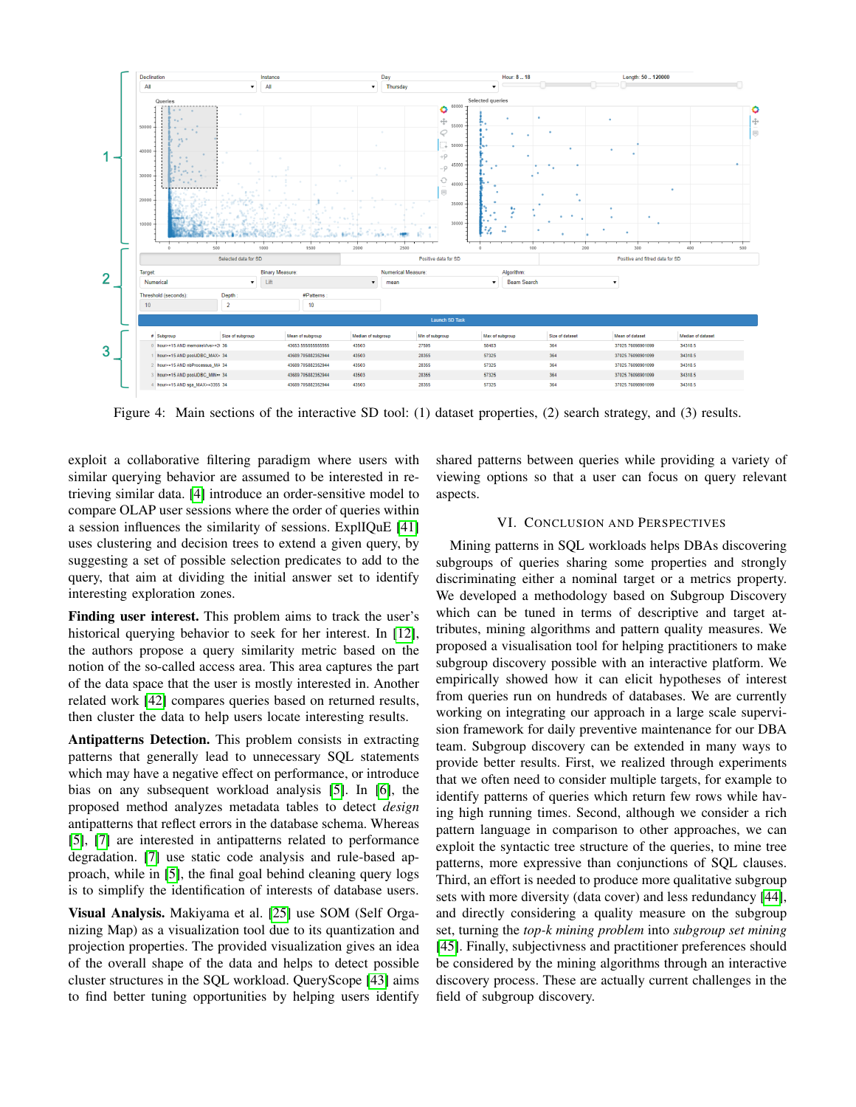<span id="page-9-0"></span>

Figure 4: Main sections of the interactive SD tool: (1) dataset properties, (2) search strategy, and (3) results.

exploit a collaborative filtering paradigm where users with similar querying behavior are assumed to be interested in retrieving similar data. [\[4\]](#page-10-3) introduce an order-sensitive model to compare OLAP user sessions where the order of queries within a session influences the similarity of sessions. ExplIQuE [\[41\]](#page-10-39) uses clustering and decision trees to extend a given query, by suggesting a set of possible selection predicates to add to the query, that aim at dividing the initial answer set to identify interesting exploration zones.

Finding user interest. This problem aims to track the user's historical querying behavior to seek for her interest. In [\[12\]](#page-10-10), the authors propose a query similarity metric based on the notion of the so-called access area. This area captures the part of the data space that the user is mostly interested in. Another related work [\[42\]](#page-10-40) compares queries based on returned results, then cluster the data to help users locate interesting results.

Antipatterns Detection. This problem consists in extracting patterns that generally lead to unnecessary SQL statements which may have a negative effect on performance, or introduce bias on any subsequent workload analysis [\[5\]](#page-10-4). In [\[6\]](#page-10-41), the proposed method analyzes metadata tables to detect *design* antipatterns that reflect errors in the database schema. Whereas [\[5\]](#page-10-4), [\[7\]](#page-10-5) are interested in antipatterns related to performance degradation. [\[7\]](#page-10-5) use static code analysis and rule-based approach, while in [\[5\]](#page-10-4), the final goal behind cleaning query logs is to simplify the identification of interests of database users.

Visual Analysis. Makiyama et al. [\[25\]](#page-10-23) use SOM (Self Organizing Map) as a visualization tool due to its quantization and projection properties. The provided visualization gives an idea of the overall shape of the data and helps to detect possible cluster structures in the SQL workload. QueryScope [\[43\]](#page-10-42) aims to find better tuning opportunities by helping users identify shared patterns between queries while providing a variety of viewing options so that a user can focus on query relevant aspects.

# VI. CONCLUSION AND PERSPECTIVES

Mining patterns in SQL workloads helps DBAs discovering subgroups of queries sharing some properties and strongly discriminating either a nominal target or a metrics property. We developed a methodology based on Subgroup Discovery which can be tuned in terms of descriptive and target attributes, mining algorithms and pattern quality measures. We proposed a visualisation tool for helping practitioners to make subgroup discovery possible with an interactive platform. We empirically showed how it can elicit hypotheses of interest from queries run on hundreds of databases. We are currently working on integrating our approach in a large scale supervision framework for daily preventive maintenance for our DBA team. Subgroup discovery can be extended in many ways to provide better results. First, we realized through experiments that we often need to consider multiple targets, for example to identify patterns of queries which return few rows while having high running times. Second, although we consider a rich pattern language in comparison to other approaches, we can exploit the syntactic tree structure of the queries, to mine tree patterns, more expressive than conjunctions of SQL clauses. Third, an effort is needed to produce more qualitative subgroup sets with more diversity (data cover) and less redundancy [\[44\]](#page-10-43), and directly considering a quality measure on the subgroup set, turning the *top-k mining problem* into *subgroup set mining* [\[45\]](#page-10-44). Finally, subjectivness and practitioner preferences should be considered by the mining algorithms through an interactive discovery process. These are actually current challenges in the field of subgroup discovery.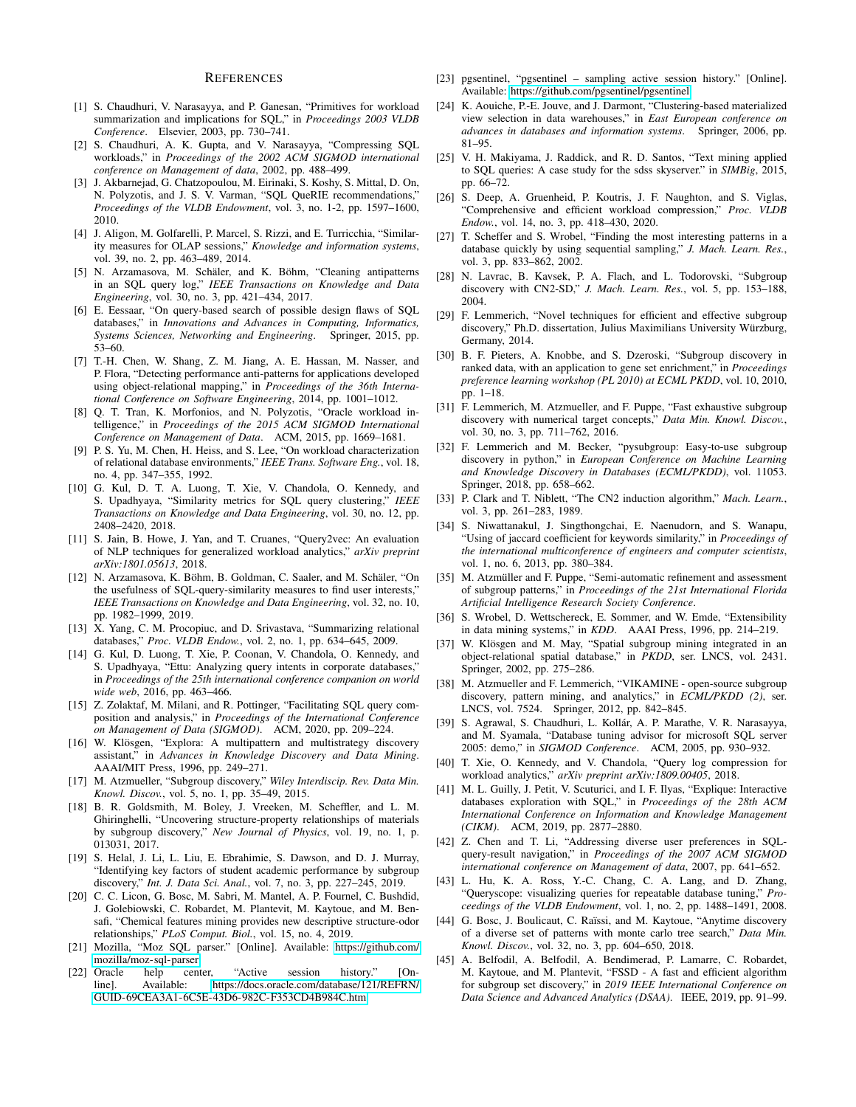#### **REFERENCES**

- <span id="page-10-0"></span>[1] S. Chaudhuri, V. Narasayya, and P. Ganesan, "Primitives for workload summarization and implications for SQL," in *Proceedings 2003 VLDB Conference*. Elsevier, 2003, pp. 730–741.
- <span id="page-10-1"></span>[2] S. Chaudhuri, A. K. Gupta, and V. Narasayya, "Compressing SQL workloads," in *Proceedings of the 2002 ACM SIGMOD international conference on Management of data*, 2002, pp. 488–499.
- <span id="page-10-2"></span>[3] J. Akbarnejad, G. Chatzopoulou, M. Eirinaki, S. Koshy, S. Mittal, D. On, N. Polyzotis, and J. S. V. Varman, "SQL QueRIE recommendations," *Proceedings of the VLDB Endowment*, vol. 3, no. 1-2, pp. 1597–1600, 2010.
- <span id="page-10-3"></span>[4] J. Aligon, M. Golfarelli, P. Marcel, S. Rizzi, and E. Turricchia, "Similarity measures for OLAP sessions," *Knowledge and information systems*, vol. 39, no. 2, pp. 463–489, 2014.
- <span id="page-10-4"></span>[5] N. Arzamasova, M. Schäler, and K. Böhm, "Cleaning antipatterns in an SQL query log," *IEEE Transactions on Knowledge and Data Engineering*, vol. 30, no. 3, pp. 421–434, 2017.
- <span id="page-10-41"></span>[6] E. Eessaar, "On query-based search of possible design flaws of SQL databases," in *Innovations and Advances in Computing, Informatics,*  $Systems~Sciences, Networking and Engineering.$ 53–60.
- <span id="page-10-5"></span>[7] T.-H. Chen, W. Shang, Z. M. Jiang, A. E. Hassan, M. Nasser, and P. Flora, "Detecting performance anti-patterns for applications developed using object-relational mapping," in *Proceedings of the 36th International Conference on Software Engineering*, 2014, pp. 1001–1012.
- <span id="page-10-6"></span>[8] Q. T. Tran, K. Morfonios, and N. Polyzotis, "Oracle workload intelligence," in *Proceedings of the 2015 ACM SIGMOD International Conference on Management of Data*. ACM, 2015, pp. 1669–1681.
- <span id="page-10-7"></span>[9] P. S. Yu, M. Chen, H. Heiss, and S. Lee, "On workload characterization of relational database environments," *IEEE Trans. Software Eng.*, vol. 18, no. 4, pp. 347–355, 1992.
- <span id="page-10-8"></span>[10] G. Kul, D. T. A. Luong, T. Xie, V. Chandola, O. Kennedy, and S. Upadhyaya, "Similarity metrics for SQL query clustering," *IEEE Transactions on Knowledge and Data Engineering*, vol. 30, no. 12, pp. 2408–2420, 2018.
- <span id="page-10-9"></span>[11] S. Jain, B. Howe, J. Yan, and T. Cruanes, "Query2vec: An evaluation of NLP techniques for generalized workload analytics," *arXiv preprint arXiv:1801.05613*, 2018.
- <span id="page-10-10"></span>[12] N. Arzamasova, K. Böhm, B. Goldman, C. Saaler, and M. Schäler, "On the usefulness of SQL-query-similarity measures to find user interests,' *IEEE Transactions on Knowledge and Data Engineering*, vol. 32, no. 10, pp. 1982–1999, 2019.
- <span id="page-10-11"></span>[13] X. Yang, C. M. Procopiuc, and D. Srivastava, "Summarizing relational databases," *Proc. VLDB Endow.*, vol. 2, no. 1, pp. 634–645, 2009.
- <span id="page-10-12"></span>[14] G. Kul, D. Luong, T. Xie, P. Coonan, V. Chandola, O. Kennedy, and S. Upadhyaya, "Ettu: Analyzing query intents in corporate databases," in *Proceedings of the 25th international conference companion on world wide web*, 2016, pp. 463–466.
- <span id="page-10-13"></span>[15] Z. Zolaktaf, M. Milani, and R. Pottinger, "Facilitating SQL query composition and analysis," in *Proceedings of the International Conference on Management of Data (SIGMOD)*. ACM, 2020, pp. 209–224.
- <span id="page-10-14"></span>[16] W. Klösgen, "Explora: A multipattern and multistrategy discovery assistant," in *Advances in Knowledge Discovery and Data Mining*. AAAI/MIT Press, 1996, pp. 249–271.
- <span id="page-10-15"></span>[17] M. Atzmueller, "Subgroup discovery," *Wiley Interdiscip. Rev. Data Min. Knowl. Discov.*, vol. 5, no. 1, pp. 35–49, 2015.
- <span id="page-10-16"></span>[18] B. R. Goldsmith, M. Boley, J. Vreeken, M. Scheffler, and L. M. Ghiringhelli, "Uncovering structure-property relationships of materials by subgroup discovery," *New Journal of Physics*, vol. 19, no. 1, p. 013031, 2017.
- <span id="page-10-17"></span>[19] S. Helal, J. Li, L. Liu, E. Ebrahimie, S. Dawson, and D. J. Murray, "Identifying key factors of student academic performance by subgroup discovery," *Int. J. Data Sci. Anal.*, vol. 7, no. 3, pp. 227–245, 2019.
- <span id="page-10-18"></span>[20] C. C. Licon, G. Bosc, M. Sabri, M. Mantel, A. P. Fournel, C. Bushdid, J. Golebiowski, C. Robardet, M. Plantevit, M. Kaytoue, and M. Bensafi, "Chemical features mining provides new descriptive structure-odor relationships," *PLoS Comput. Biol.*, vol. 15, no. 4, 2019.
- <span id="page-10-19"></span>[21] Mozilla, "Moz SQL parser." [Online]. Available: [https://github.com/](https://github.com/mozilla/moz-sql-parser) [mozilla/moz-sql-parser](https://github.com/mozilla/moz-sql-parser)
- <span id="page-10-20"></span>[22] Oracle help center, "Active session history." [On-<br>line]. Available: https://docs.oracle.com/database/121/REFRN/ line]. Available: [https://docs.oracle.com/database/121/REFRN/](https://docs.oracle.com/database/121/REFRN/GUID-69CEA3A1-6C5E-43D6-982C-F353CD4B984C.htm) [GUID-69CEA3A1-6C5E-43D6-982C-F353CD4B984C.htm](https://docs.oracle.com/database/121/REFRN/GUID-69CEA3A1-6C5E-43D6-982C-F353CD4B984C.htm)
- <span id="page-10-21"></span>[23] pgsentinel, "pgsentinel – sampling active session history." [Online]. Available:<https://github.com/pgsentinel/pgsentinel>
- <span id="page-10-22"></span>[24] K. Aouiche, P.-E. Jouve, and J. Darmont, "Clustering-based materialized view selection in data warehouses," in *East European conference on advances in databases and information systems*. Springer, 2006, pp. 81–95.
- <span id="page-10-23"></span>[25] V. H. Makiyama, J. Raddick, and R. D. Santos, "Text mining applied to SQL queries: A case study for the sdss skyserver." in *SIMBig*, 2015, pp. 66–72.
- <span id="page-10-24"></span>[26] S. Deep, A. Gruenheid, P. Koutris, J. F. Naughton, and S. Viglas, "Comprehensive and efficient workload compression," *Proc. VLDB Endow.*, vol. 14, no. 3, pp. 418–430, 2020.
- <span id="page-10-25"></span>[27] T. Scheffer and S. Wrobel, "Finding the most interesting patterns in a database quickly by using sequential sampling," *J. Mach. Learn. Res.*, vol. 3, pp. 833–862, 2002.
- <span id="page-10-26"></span>[28] N. Lavrac, B. Kavsek, P. A. Flach, and L. Todorovski, "Subgroup discovery with CN2-SD," *J. Mach. Learn. Res.*, vol. 5, pp. 153–188, 2004.
- <span id="page-10-27"></span>[29] F. Lemmerich, "Novel techniques for efficient and effective subgroup discovery," Ph.D. dissertation, Julius Maximilians University Würzburg, Germany, 2014.
- <span id="page-10-28"></span>[30] B. F. Pieters, A. Knobbe, and S. Dzeroski, "Subgroup discovery in ranked data, with an application to gene set enrichment," in *Proceedings preference learning workshop (PL 2010) at ECML PKDD*, vol. 10, 2010, pp. 1–18.
- <span id="page-10-29"></span>[31] F. Lemmerich, M. Atzmueller, and F. Puppe, "Fast exhaustive subgroup discovery with numerical target concepts," *Data Min. Knowl. Discov.*, vol. 30, no. 3, pp. 711–762, 2016.
- <span id="page-10-30"></span>[32] F. Lemmerich and M. Becker, "pysubgroup: Easy-to-use subgroup discovery in python," in *European Conference on Machine Learning and Knowledge Discovery in Databases (ECML/PKDD)*, vol. 11053. Springer, 2018, pp. 658–662.
- <span id="page-10-31"></span>[33] P. Clark and T. Niblett, "The CN2 induction algorithm," *Mach. Learn.*, vol. 3, pp. 261–283, 1989.
- <span id="page-10-32"></span>[34] S. Niwattanakul, J. Singthongchai, E. Naenudorn, and S. Wanapu, "Using of jaccard coefficient for keywords similarity," in *Proceedings of the international multiconference of engineers and computer scientists*, vol. 1, no. 6, 2013, pp. 380–384.
- <span id="page-10-33"></span>[35] M. Atzmüller and F. Puppe, "Semi-automatic refinement and assessment of subgroup patterns," in *Proceedings of the 21st International Florida Artificial Intelligence Research Society Conference*.
- <span id="page-10-34"></span>[36] S. Wrobel, D. Wettschereck, E. Sommer, and W. Emde, "Extensibility in data mining systems," in *KDD*. AAAI Press, 1996, pp. 214–219.
- <span id="page-10-35"></span>[37] W. Klösgen and M. May, "Spatial subgroup mining integrated in an object-relational spatial database," in *PKDD*, ser. LNCS, vol. 2431. Springer, 2002, pp. 275–286.
- <span id="page-10-36"></span>[38] M. Atzmueller and F. Lemmerich, "VIKAMINE - open-source subgroup discovery, pattern mining, and analytics," in *ECML/PKDD (2)*, ser. LNCS, vol. 7524. Springer, 2012, pp. 842–845.
- <span id="page-10-37"></span>[39] S. Agrawal, S. Chaudhuri, L. Kollár, A. P. Marathe, V. R. Narasayya, and M. Syamala, "Database tuning advisor for microsoft SQL server 2005: demo," in *SIGMOD Conference*. ACM, 2005, pp. 930–932.
- <span id="page-10-38"></span>[40] T. Xie, O. Kennedy, and V. Chandola, "Query log compression for workload analytics," *arXiv preprint arXiv:1809.00405*, 2018.
- <span id="page-10-39"></span>[41] M. L. Guilly, J. Petit, V. Scuturici, and I. F. Ilyas, "Explique: Interactive databases exploration with SQL," in *Proceedings of the 28th ACM International Conference on Information and Knowledge Management (CIKM)*. ACM, 2019, pp. 2877–2880.
- <span id="page-10-40"></span>[42] Z. Chen and T. Li, "Addressing diverse user preferences in SQLquery-result navigation," in *Proceedings of the 2007 ACM SIGMOD international conference on Management of data*, 2007, pp. 641–652.
- <span id="page-10-42"></span>[43] L. Hu, K. A. Ross, Y.-C. Chang, C. A. Lang, and D. Zhang, "Queryscope: visualizing queries for repeatable database tuning," *Proceedings of the VLDB Endowment*, vol. 1, no. 2, pp. 1488–1491, 2008.
- <span id="page-10-43"></span>[44] G. Bosc, J. Boulicaut, C. Raïssi, and M. Kaytoue, "Anytime discovery of a diverse set of patterns with monte carlo tree search," *Data Min. Knowl. Discov.*, vol. 32, no. 3, pp. 604–650, 2018.
- <span id="page-10-44"></span>[45] A. Belfodil, A. Belfodil, A. Bendimerad, P. Lamarre, C. Robardet, M. Kaytoue, and M. Plantevit, "FSSD - A fast and efficient algorithm for subgroup set discovery," in *2019 IEEE International Conference on Data Science and Advanced Analytics (DSAA)*. IEEE, 2019, pp. 91–99.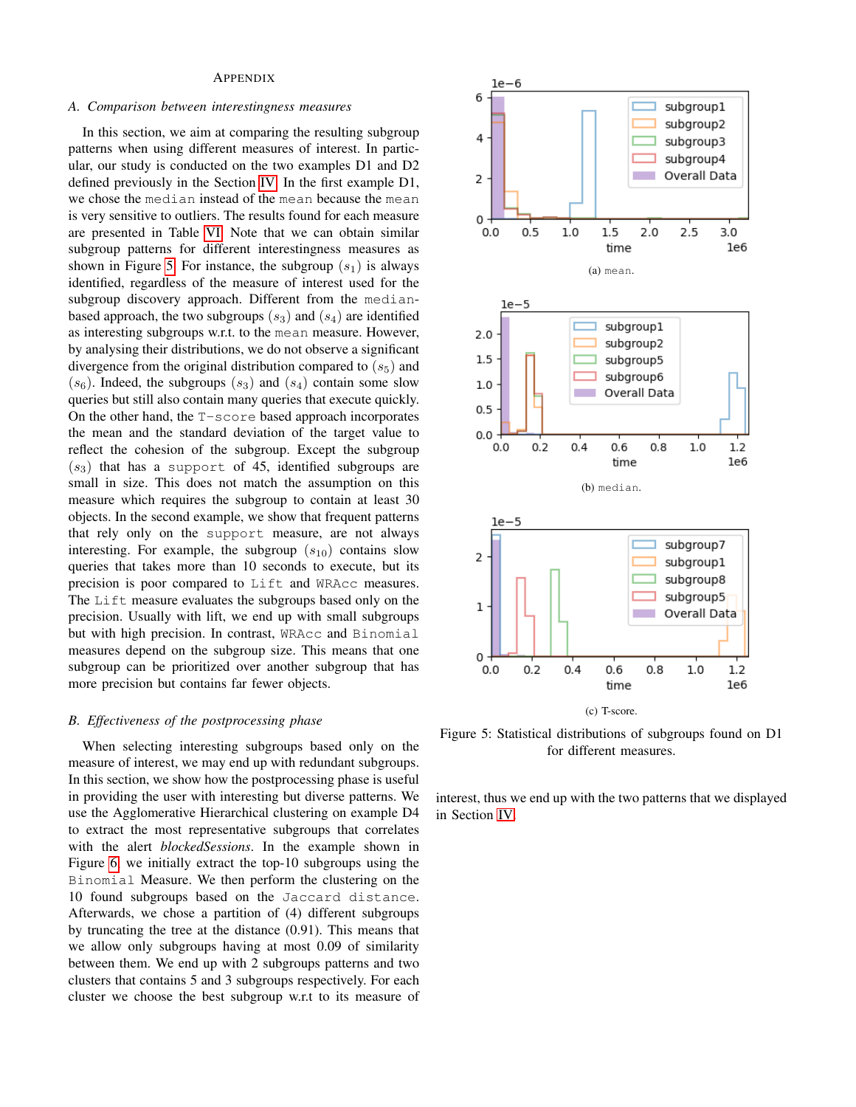## APPENDIX

## *A. Comparison between interestingness measures*

In this section, we aim at comparing the resulting subgroup patterns when using different measures of interest. In particular, our study is conducted on the two examples D1 and D2 defined previously in the Section [IV.](#page-6-0) In the first example D1, we chose the median instead of the mean because the mean is very sensitive to outliers. The results found for each measure are presented in Table [VI.](#page-12-0) Note that we can obtain similar subgroup patterns for different interestingness measures as shown in Figure [5.](#page-11-0) For instance, the subgroup  $(s_1)$  is always identified, regardless of the measure of interest used for the subgroup discovery approach. Different from the medianbased approach, the two subgroups  $(s_3)$  and  $(s_4)$  are identified as interesting subgroups w.r.t. to the mean measure. However, by analysing their distributions, we do not observe a significant divergence from the original distribution compared to  $(s_5)$  and  $(s_6)$ . Indeed, the subgroups  $(s_3)$  and  $(s_4)$  contain some slow queries but still also contain many queries that execute quickly. On the other hand, the T-score based approach incorporates the mean and the standard deviation of the target value to reflect the cohesion of the subgroup. Except the subgroup  $(s_3)$  that has a support of 45, identified subgroups are small in size. This does not match the assumption on this measure which requires the subgroup to contain at least 30 objects. In the second example, we show that frequent patterns that rely only on the support measure, are not always interesting. For example, the subgroup  $(s_{10})$  contains slow queries that takes more than 10 seconds to execute, but its precision is poor compared to Lift and WRAcc measures. The Lift measure evaluates the subgroups based only on the precision. Usually with lift, we end up with small subgroups but with high precision. In contrast, WRAcc and Binomial measures depend on the subgroup size. This means that one subgroup can be prioritized over another subgroup that has more precision but contains far fewer objects.

## *B. Effectiveness of the postprocessing phase*

When selecting interesting subgroups based only on the measure of interest, we may end up with redundant subgroups. In this section, we show how the postprocessing phase is useful in providing the user with interesting but diverse patterns. We use the Agglomerative Hierarchical clustering on example D4 to extract the most representative subgroups that correlates with the alert *blockedSessions*. In the example shown in Figure [6,](#page-12-1) we initially extract the top-10 subgroups using the Binomial Measure. We then perform the clustering on the 10 found subgroups based on the Jaccard distance. Afterwards, we chose a partition of (4) different subgroups by truncating the tree at the distance (0.91). This means that we allow only subgroups having at most 0.09 of similarity between them. We end up with 2 subgroups patterns and two clusters that contains 5 and 3 subgroups respectively. For each cluster we choose the best subgroup w.r.t to its measure of

<span id="page-11-0"></span>

Figure 5: Statistical distributions of subgroups found on D1 for different measures.

interest, thus we end up with the two patterns that we displayed in Section [IV.](#page-6-0)